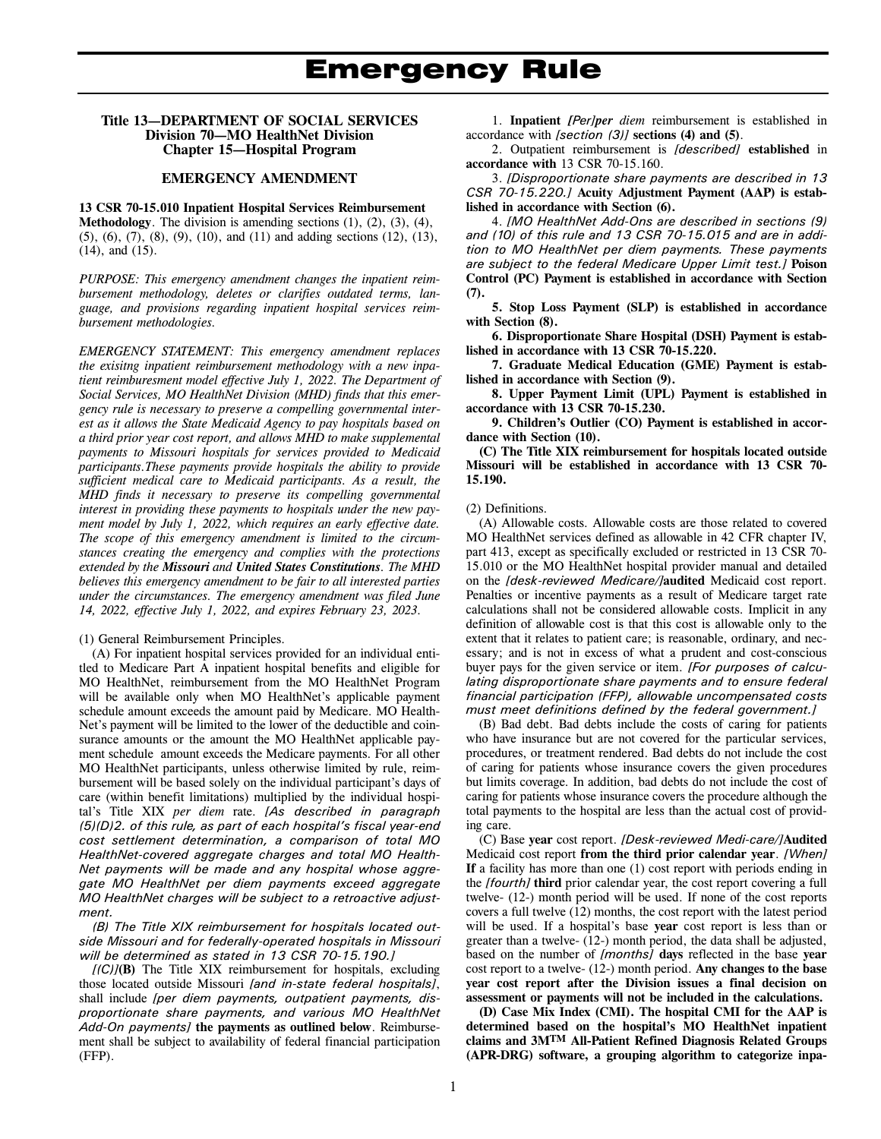### **Title 13—DEPARTMENT OF SOCIAL SERVICES Division 70—MO HealthNet Division Chapter 15—Hospital Program**

### **EMERGENCY AMENDMENT**

**13 CSR 70-15.010 Inpatient Hospital Services Reimbursement Methodology**. The division is amending sections (1), (2), (3), (4), (5), (6), (7), (8), (9), (10), and (11) and adding sections (12), (13), (14), and (15).

*PURPOSE: This emergency amendment changes the inpatient reimbursement methodology, deletes or clarifies outdated terms, language, and provisions regarding inpatient hospital services reimbursement methodologies.* 

*EMERGENCY STATEMENT: This emergency amendment replaces the exisitng inpatient reimbursement methodology with a new inpatient reimburesment model effective July 1, 2022. The Department of Social Services, MO HealthNet Division (MHD) finds that this emergency rule is necessary to preserve a compelling governmental interest as it allows the State Medicaid Agency to pay hospitals based on a third prior year cost report, and allows MHD to make supplemental payments to Missouri hospitals for services provided to Medicaid participants.These payments provide hospitals the ability to provide sufficient medical care to Medicaid participants. As a result, the MHD finds it necessary to preserve its compelling governmental interest in providing these payments to hospitals under the new payment model by July 1, 2022, which requires an early effective date. The scope of this emergency amendment is limited to the circumstances creating the emergency and complies with the protections extended by the Missouri and United States Constitutions. The MHD believes this emergency amendment to be fair to all interested parties under the circumstances. The emergency amendment was filed June 14, 2022, effective July 1, 2022, and expires February 23, 2023.* 

(1) General Reimbursement Principles.

(A) For inpatient hospital services provided for an individual entitled to Medicare Part A inpatient hospital benefits and eligible for MO HealthNet, reimbursement from the MO HealthNet Program will be available only when MO HealthNet's applicable payment schedule amount exceeds the amount paid by Medicare. MO Health-Net's payment will be limited to the lower of the deductible and coinsurance amounts or the amount the MO HealthNet applicable payment schedule amount exceeds the Medicare payments. For all other MO HealthNet participants, unless otherwise limited by rule, reimbursement will be based solely on the individual participant's days of care (within benefit limitations) multiplied by the individual hospital's Title XIX *per diem* rate. *[As described in paragraph (5)(D)2. of this rule, as part of each hospital's fiscal year-end cost settlement determination, a comparison of total MO HealthNet-covered aggregate charges and total MO Health-Net payments will be made and any hospital whose aggregate MO HealthNet per diem payments exceed aggregate MO HealthNet charges will be subject to a retroactive adjustment.*

*(B) The Title XIX reimbursement for hospitals located outside Missouri and for federally-operated hospitals in Missouri will be determined as stated in 13 CSR 70-15.190.]*

*[(C)]***(B)** The Title XIX reimbursement for hospitals, excluding those located outside Missouri *[and in-state federal hospitals]*, shall include *[per diem payments, outpatient payments, disproportionate share payments, and various MO HealthNet Add-On payments]* **the payments as outlined below**. Reimbursement shall be subject to availability of federal financial participation (FFP).

1. **Inpatient** *[Per]per diem* reimbursement is established in accordance with *[section (3)]* **sections (4) and (5)**.

2. Outpatient reimbursement is *[described]* **established** in **accordance with** 13 CSR 70-15.160.

3. *[Disproportionate share payments are described in 13 CSR 70-15.220.]* **Acuity Adjustment Payment (AAP) is established in accordance with Section (6).** 

4. *[MO HealthNet Add-Ons are described in sections (9) and (10) of this rule and 13 CSR 70-15.015 and are in addition to MO HealthNet per diem payments. These payments are subject to the federal Medicare Upper Limit test.]* **Poison Control (PC) Payment is established in accordance with Section (7).** 

**5. Stop Loss Payment (SLP) is established in accordance with Section (8).** 

**6. Disproportionate Share Hospital (DSH) Payment is established in accordance with 13 CSR 70-15.220.** 

**7. Graduate Medical Education (GME) Payment is established in accordance with Section (9).** 

**8. Upper Payment Limit (UPL) Payment is established in accordance with 13 CSR 70-15.230.** 

**9. Children's Outlier (CO) Payment is established in accordance with Section (10).** 

**(C) The Title XIX reimbursement for hospitals located outside Missouri will be established in accordance with 13 CSR 70- 15.190.** 

#### (2) Definitions.

(A) Allowable costs. Allowable costs are those related to covered MO HealthNet services defined as allowable in 42 CFR chapter IV, part 413, except as specifically excluded or restricted in 13 CSR 70- 15.010 or the MO HealthNet hospital provider manual and detailed on the *[desk-reviewed Medicare/]***audited** Medicaid cost report. Penalties or incentive payments as a result of Medicare target rate calculations shall not be considered allowable costs. Implicit in any definition of allowable cost is that this cost is allowable only to the extent that it relates to patient care; is reasonable, ordinary, and necessary; and is not in excess of what a prudent and cost-conscious buyer pays for the given service or item. *[For purposes of calculating disproportionate share payments and to ensure federal financial participation (FFP), allowable uncompensated costs must meet definitions defined by the federal government.]*

(B) Bad debt. Bad debts include the costs of caring for patients who have insurance but are not covered for the particular services, procedures, or treatment rendered. Bad debts do not include the cost of caring for patients whose insurance covers the given procedures but limits coverage. In addition, bad debts do not include the cost of caring for patients whose insurance covers the procedure although the total payments to the hospital are less than the actual cost of providing care.

(C) Base **year** cost report. *[Desk-reviewed Medi-care/]***Audited**  Medicaid cost report **from the third prior calendar year**. *[When]* **If** a facility has more than one (1) cost report with periods ending in the *[fourth]* **third** prior calendar year, the cost report covering a full twelve- (12-) month period will be used. If none of the cost reports covers a full twelve (12) months, the cost report with the latest period will be used. If a hospital's base **year** cost report is less than or greater than a twelve*-* (12*-*) month period, the data shall be adjusted, based on the number of *[months]* **days** reflected in the base **year** cost report to a twelve- (12-) month period. **Any changes to the base year cost report after the Division issues a final decision on assessment or payments will not be included in the calculations.** 

**(D) Case Mix Index (CMI). The hospital CMI for the AAP is determined based on the hospital's MO HealthNet inpatient claims and 3MTM All-Patient Refined Diagnosis Related Groups (APR-DRG) software, a grouping algorithm to categorize inpa-**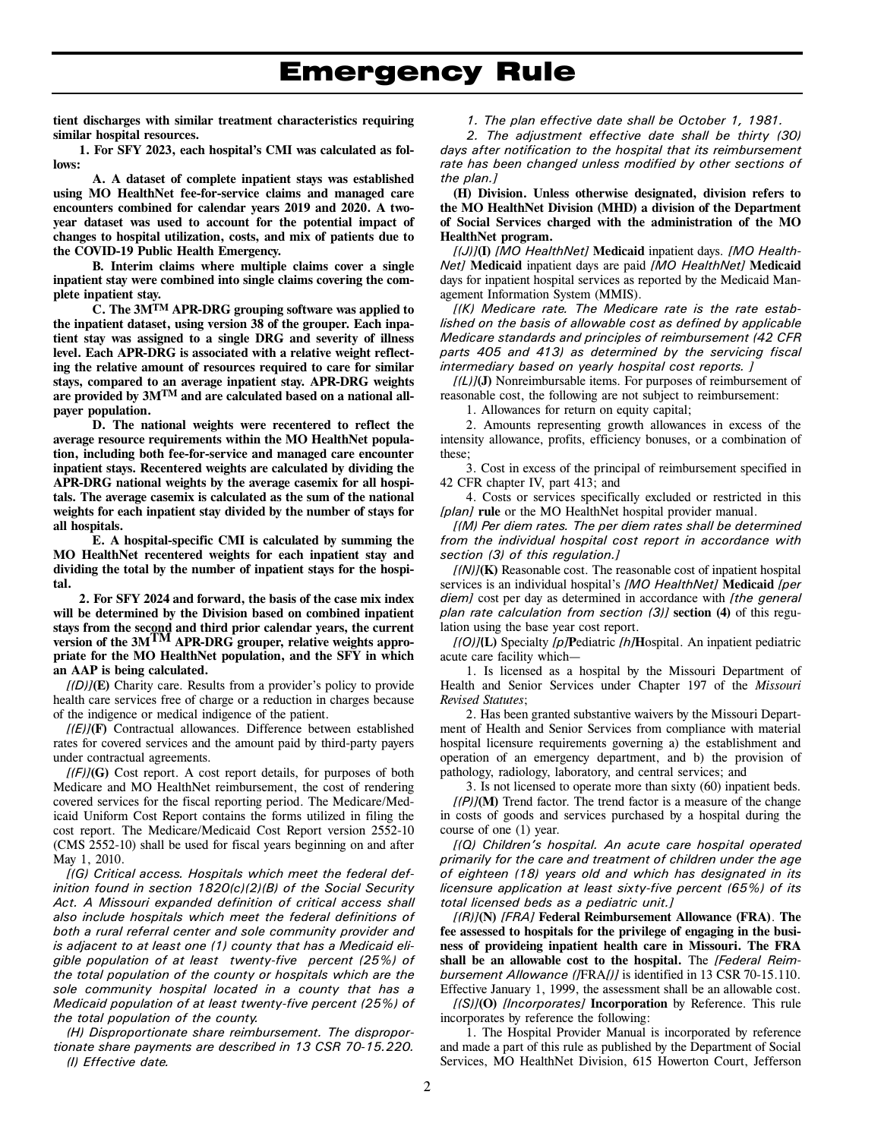**tient discharges with similar treatment characteristics requiring similar hospital resources.** 

**1. For SFY 2023, each hospital's CMI was calculated as follows:** 

**A. A dataset of complete inpatient stays was established using MO HealthNet fee-for-service claims and managed care encounters combined for calendar years 2019 and 2020. A twoyear dataset was used to account for the potential impact of changes to hospital utilization, costs, and mix of patients due to the COVID-19 Public Health Emergency.** 

**B. Interim claims where multiple claims cover a single inpatient stay were combined into single claims covering the complete inpatient stay.** 

**C. The 3MTM APR-DRG grouping software was applied to the inpatient dataset, using version 38 of the grouper. Each inpatient stay was assigned to a single DRG and severity of illness level. Each APR-DRG is associated with a relative weight reflecting the relative amount of resources required to care for similar stays, compared to an average inpatient stay. APR-DRG weights are provided by 3MTM and are calculated based on a national allpayer population.** 

**D. The national weights were recentered to reflect the average resource requirements within the MO HealthNet population, including both fee-for-service and managed care encounter inpatient stays. Recentered weights are calculated by dividing the APR-DRG national weights by the average casemix for all hospitals. The average casemix is calculated as the sum of the national weights for each inpatient stay divided by the number of stays for all hospitals.** 

**E. A hospital-specific CMI is calculated by summing the MO HealthNet recentered weights for each inpatient stay and dividing the total by the number of inpatient stays for the hospital.** 

**2. For SFY 2024 and forward, the basis of the case mix index will be determined by the Division based on combined inpatient stays from the second and third prior calendar years, the current version of the 3MTM APR-DRG grouper, relative weights appropriate for the MO HealthNet population, and the SFY in which an AAP is being calculated.** 

*[(D)]***(E)** Charity care. Results from a provider's policy to provide health care services free of charge or a reduction in charges because of the indigence or medical indigence of the patient.

 $[(E)]$ **(F)** Contractual allowances. Difference between established rates for covered services and the amount paid by third-party payers under contractual agreements.

*[(F)]***(G)** Cost report. A cost report details, for purposes of both Medicare and MO HealthNet reimbursement, the cost of rendering covered services for the fiscal reporting period. The Medicare/Medicaid Uniform Cost Report contains the forms utilized in filing the cost report. The Medicare/Medicaid Cost Report version 2552-10 (CMS 2552-10) shall be used for fiscal years beginning on and after May 1, 2010.

*[(G) Critical access. Hospitals which meet the federal definition found in section 1820(c)(2)(B) of the Social Security Act. A Missouri expanded definition of critical access shall also include hospitals which meet the federal definitions of both a rural referral center and sole community provider and is adjacent to at least one (1) county that has a Medicaid eligible population of at least twenty-five percent (25%) of the total population of the county or hospitals which are the sole community hospital located in a county that has a Medicaid population of at least twenty-five percent (25%) of the total population of the county.* 

*(H) Disproportionate share reimbursement. The disproportionate share payments are described in 13 CSR 70-15.220. (I) Effective date.* 

### *1. The plan effective date shall be October 1, 1981.*

*2. The adjustment effective date shall be thirty (30) days after notification to the hospital that its reimbursement rate has been changed unless modified by other sections of the plan.]* 

**(H) Division. Unless otherwise designated, division refers to the MO HealthNet Division (MHD) a division of the Department of Social Services charged with the administration of the MO HealthNet program.**

*[(J)]***(I)** *[MO HealthNet]* **Medicaid** inpatient days. *[MO Health-Net]* **Medicaid** inpatient days are paid *[MO HealthNet]* **Medicaid** days for inpatient hospital services as reported by the Medicaid Management Information System (MMIS).

*[(K) Medicare rate. The Medicare rate is the rate established on the basis of allowable cost as defined by applicable Medicare standards and principles of reimbursement (42 CFR parts 405 and 413) as determined by the servicing fiscal intermediary based on yearly hospital cost reports. ]* 

*[(L)]***(J)** Nonreimbursable items. For purposes of reimbursement of reasonable cost, the following are not subject to reimbursement:

1. Allowances for return on equity capital;

2. Amounts representing growth allowances in excess of the intensity allowance, profits, efficiency bonuses, or a combination of these;

3. Cost in excess of the principal of reimbursement specified in 42 CFR chapter IV, part 413; and

4. Costs or services specifically excluded or restricted in this *[plan]* **rule** or the MO HealthNet hospital provider manual.

*[(M) Per diem rates. The per diem rates shall be determined from the individual hospital cost report in accordance with section (3) of this regulation.]*

*[(N)]***(K)** Reasonable cost. The reasonable cost of inpatient hospital services is an individual hospital's *[MO HealthNet]* **Medicaid** *[per diem]* cost per day as determined in accordance with *[the general plan rate calculation from section (3)]* **section (4)** of this regulation using the base year cost report.

*[(O)]***(L)** Specialty *[p]***P**ediatric *[h]***H**ospital. An inpatient pediatric acute care facility which—

1. Is licensed as a hospital by the Missouri Department of Health and Senior Services under Chapter 197 of the *Missouri Revised Statutes*;

2. Has been granted substantive waivers by the Missouri Department of Health and Senior Services from compliance with material hospital licensure requirements governing a) the establishment and operation of an emergency department, and b) the provision of pathology, radiology, laboratory, and central services; and

3. Is not licensed to operate more than sixty (60) inpatient beds. *[(P)]***(M)** Trend factor. The trend factor is a measure of the change in costs of goods and services purchased by a hospital during the course of one (1) year.

*[(Q) Children's hospital. An acute care hospital operated primarily for the care and treatment of children under the age of eighteen (18) years old and which has designated in its licensure application at least sixty-five percent (65%) of its total licensed beds as a pediatric unit.]* 

*[(R)]***(N)** *[FRA]* **Federal Reimbursement Allowance (FRA)**. **The fee assessed to hospitals for the privilege of engaging in the business of provideing inpatient health care in Missouri. The FRA shall be an allowable cost to the hospital.** The *[Federal Reimbursement Allowance (]*FRA*[)]* is identified in 13 CSR 70-15.110. Effective January 1, 1999, the assessment shall be an allowable cost.

*[(S)]***(O)** *[Incorporates]* **Incorporation** by Reference. This rule incorporates by reference the following:

1. The Hospital Provider Manual is incorporated by reference and made a part of this rule as published by the Department of Social Services, MO HealthNet Division, 615 Howerton Court, Jefferson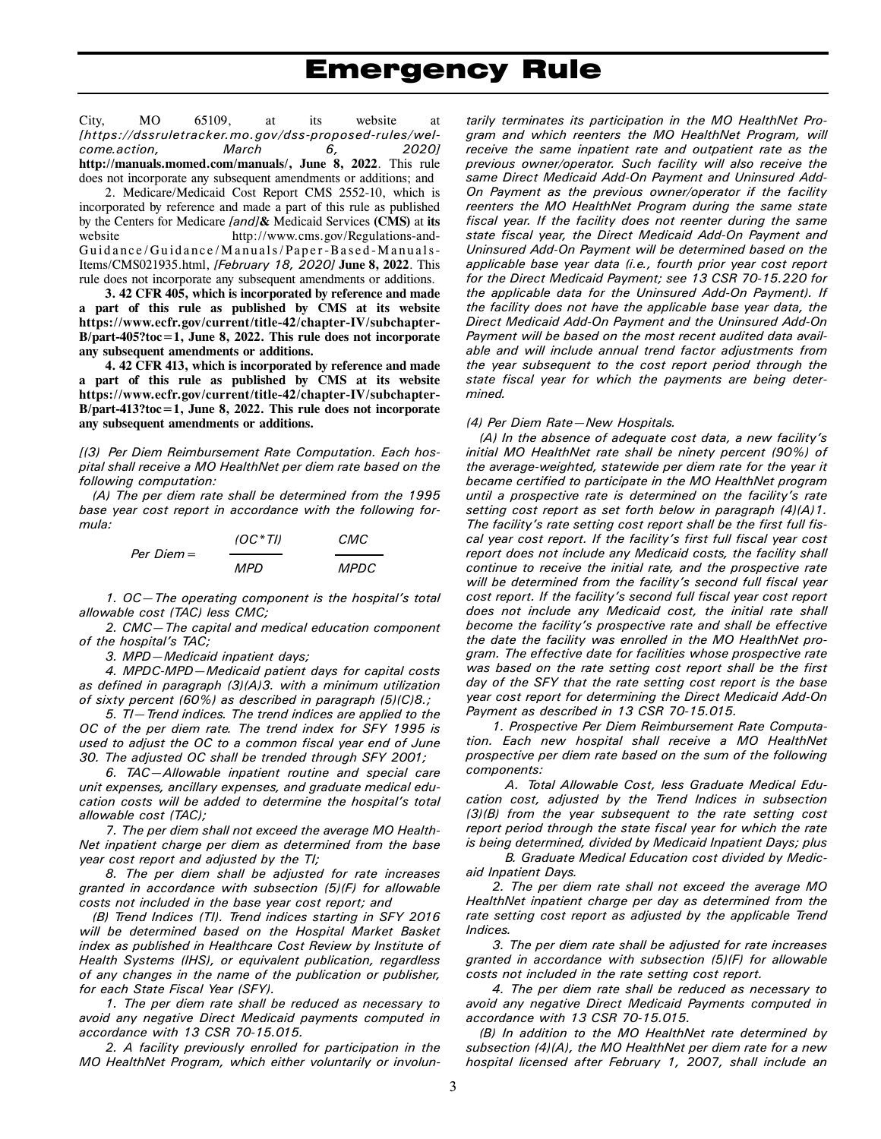City, MO 65109, at its website at *[https://dssruletracker.mo.gov/dss-proposed-rules/welcome.action, March 6, 2020]*  **http://manuals.momed.com/manuals/, June 8, 2022**. This rule does not incorporate any subsequent amendments or additions; and

2. Medicare/Medicaid Cost Report CMS 2552-10, which is incorporated by reference and made a part of this rule as published by the Centers for Medicare *[and]***&** Medicaid Services **(CMS)** at **its**  website http://www.cms.gov/Regulations-and-Guidance/Guidance/Manuals/Paper-Based-Manuals-Items/CMS021935.html, *[February 18, 2020]* **June 8, 2022**. This rule does not incorporate any subsequent amendments or additions.

**3. 42 CFR 405, which is incorporated by reference and made a part of this rule as published by CMS at its website https://www.ecfr.gov/current/title-42/chapter-IV/subchapter-B/part-405?toc=1, June 8, 2022. This rule does not incorporate any subsequent amendments or additions.**

**4. 42 CFR 413, which is incorporated by reference and made a part of this rule as published by CMS at its website https://www.ecfr.gov/current/title-42/chapter-IV/subchapter-B/part-413?toc=1, June 8, 2022. This rule does not incorporate any subsequent amendments or additions.** 

*[(3) Per Diem Reimbursement Rate Computation. Each hospital shall receive a MO HealthNet per diem rate based on the following computation:* 

*(A) The per diem rate shall be determined from the 1995 base year cost report in accordance with the following formula:* 

| $Per$ Diem $=$ | $(OC*T)$ | CMC         |
|----------------|----------|-------------|
|                | MPD      | <i>MPDC</i> |

*1. OC—The operating component is the hospital's total allowable cost (TAC) less CMC;* 

*2. CMC—The capital and medical education component of the hospital's TAC;* 

*3. MPD—Medicaid inpatient days;* 

*4. MPDC-MPD—Medicaid patient days for capital costs as defined in paragraph (3)(A)3. with a minimum utilization of sixty percent (60%) as described in paragraph (5)(C)8.;* 

*5. TI—Trend indices. The trend indices are applied to the OC of the per diem rate. The trend index for SFY 1995 is used to adjust the OC to a common fiscal year end of June 30. The adjusted OC shall be trended through SFY 2001;* 

*6. TAC—Allowable inpatient routine and special care unit expenses, ancillary expenses, and graduate medical education costs will be added to determine the hospital's total allowable cost (TAC);* 

*7. The per diem shall not exceed the average MO Health-Net inpatient charge per diem as determined from the base year cost report and adjusted by the TI;* 

*8. The per diem shall be adjusted for rate increases granted in accordance with subsection (5)(F) for allowable costs not included in the base year cost report; and* 

*(B) Trend Indices (TI). Trend indices starting in SFY 2016 will be determined based on the Hospital Market Basket index as published in Healthcare Cost Review by Institute of Health Systems (IHS), or equivalent publication, regardless of any changes in the name of the publication or publisher, for each State Fiscal Year (SFY).* 

*1. The per diem rate shall be reduced as necessary to avoid any negative Direct Medicaid payments computed in accordance with 13 CSR 70-15.015.* 

*2. A facility previously enrolled for participation in the MO HealthNet Program, which either voluntarily or involun-*

*tarily terminates its participation in the MO HealthNet Program and which reenters the MO HealthNet Program, will receive the same inpatient rate and outpatient rate as the previous owner/operator. Such facility will also receive the same Direct Medicaid Add-On Payment and Uninsured Add-On Payment as the previous owner/operator if the facility reenters the MO HealthNet Program during the same state fiscal year. If the facility does not reenter during the same state fiscal year, the Direct Medicaid Add-On Payment and Uninsured Add-On Payment will be determined based on the applicable base year data (i.e., fourth prior year cost report for the Direct Medicaid Payment; see 13 CSR 70-15.220 for the applicable data for the Uninsured Add-On Payment). If the facility does not have the applicable base year data, the Direct Medicaid Add-On Payment and the Uninsured Add-On Payment will be based on the most recent audited data available and will include annual trend factor adjustments from the year subsequent to the cost report period through the state fiscal year for which the payments are being determined.* 

### *(4) Per Diem Rate—New Hospitals.*

*(A) In the absence of adequate cost data, a new facility's initial MO HealthNet rate shall be ninety percent (90%) of the average-weighted, statewide per diem rate for the year it became certified to participate in the MO HealthNet program until a prospective rate is determined on the facility's rate setting cost report as set forth below in paragraph (4)(A)1. The facility's rate setting cost report shall be the first full fiscal year cost report. If the facility's first full fiscal year cost report does not include any Medicaid costs, the facility shall continue to receive the initial rate, and the prospective rate will be determined from the facility's second full fiscal year cost report. If the facility's second full fiscal year cost report does not include any Medicaid cost, the initial rate shall become the facility's prospective rate and shall be effective the date the facility was enrolled in the MO HealthNet program. The effective date for facilities whose prospective rate was based on the rate setting cost report shall be the first day of the SFY that the rate setting cost report is the base year cost report for determining the Direct Medicaid Add-On Payment as described in 13 CSR 70-15.015.* 

*1. Prospective Per Diem Reimbursement Rate Computation. Each new hospital shall receive a MO HealthNet prospective per diem rate based on the sum of the following components:* 

*A. Total Allowable Cost, less Graduate Medical Education cost, adjusted by the Trend Indices in subsection (3)(B) from the year subsequent to the rate setting cost report period through the state fiscal year for which the rate is being determined, divided by Medicaid Inpatient Days; plus B. Graduate Medical Education cost divided by Medic-*

*aid Inpatient Days.* 

*2. The per diem rate shall not exceed the average MO HealthNet inpatient charge per day as determined from the rate setting cost report as adjusted by the applicable Trend Indices.* 

*3. The per diem rate shall be adjusted for rate increases granted in accordance with subsection (5)(F) for allowable costs not included in the rate setting cost report.* 

*4. The per diem rate shall be reduced as necessary to avoid any negative Direct Medicaid Payments computed in accordance with 13 CSR 70-15.015.* 

*(B) In addition to the MO HealthNet rate determined by subsection (4)(A), the MO HealthNet per diem rate for a new hospital licensed after February 1, 2007, shall include an*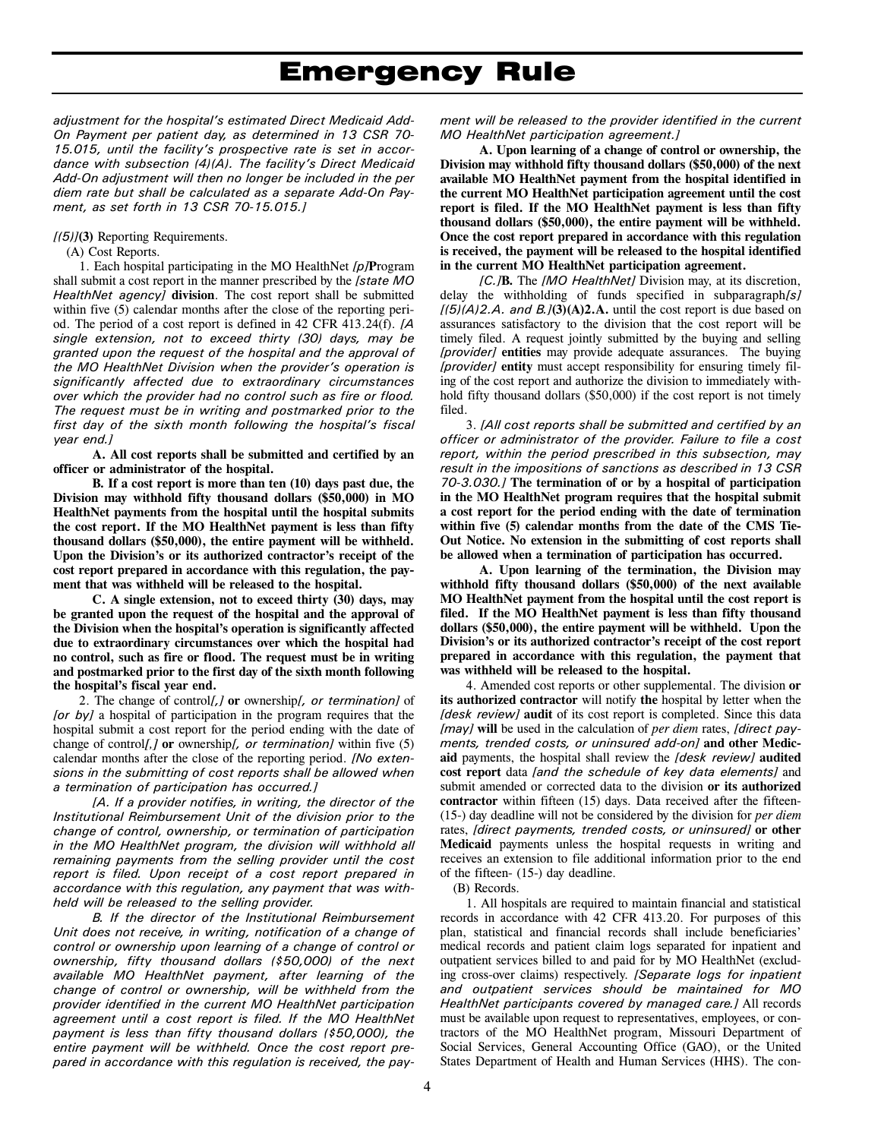*adjustment for the hospital's estimated Direct Medicaid Add-On Payment per patient day, as determined in 13 CSR 70- 15.015, until the facility's prospective rate is set in accordance with subsection (4)(A). The facility's Direct Medicaid Add-On adjustment will then no longer be included in the per diem rate but shall be calculated as a separate Add-On Payment, as set forth in 13 CSR 70-15.015.]* 

### *[(5)]***(3)** Reporting Requirements.

(A) Cost Reports.

1. Each hospital participating in the MO HealthNet *[p]***P**rogram shall submit a cost report in the manner prescribed by the *[state MO HealthNet agency]* **division**. The cost report shall be submitted within five (5) calendar months after the close of the reporting period. The period of a cost report is defined in 42 CFR 413.24(f). *[A single extension, not to exceed thirty (30) days, may be granted upon the request of the hospital and the approval of the MO HealthNet Division when the provider's operation is significantly affected due to extraordinary circumstances over which the provider had no control such as fire or flood. The request must be in writing and postmarked prior to the first day of the sixth month following the hospital's fiscal year end.]* 

**A. All cost reports shall be submitted and certified by an officer or administrator of the hospital.** 

**B. If a cost report is more than ten (10) days past due, the Division may withhold fifty thousand dollars (\$50,000) in MO HealthNet payments from the hospital until the hospital submits the cost report. If the MO HealthNet payment is less than fifty thousand dollars (\$50,000), the entire payment will be withheld. Upon the Division's or its authorized contractor's receipt of the cost report prepared in accordance with this regulation, the payment that was withheld will be released to the hospital.** 

**C. A single extension, not to exceed thirty (30) days, may be granted upon the request of the hospital and the approval of the Division when the hospital's operation is significantly affected due to extraordinary circumstances over which the hospital had no control, such as fire or flood. The request must be in writing and postmarked prior to the first day of the sixth month following the hospital's fiscal year end.** 

2. The change of control*[,]* **or** ownership*[, or termination]* of *[or by]* a hospital of participation in the program requires that the hospital submit a cost report for the period ending with the date of change of control[,] or ownership[, or termination] within five (5) calendar months after the close of the reporting period. *[No extensions in the submitting of cost reports shall be allowed when a termination of participation has occurred.]*

*[A. If a provider notifies, in writing, the director of the Institutional Reimbursement Unit of the division prior to the change of control, ownership, or termination of participation in the MO HealthNet program, the division will withhold all remaining payments from the selling provider until the cost report is filed. Upon receipt of a cost report prepared in accordance with this regulation, any payment that was withheld will be released to the selling provider.* 

*B. If the director of the Institutional Reimbursement Unit does not receive, in writing, notification of a change of control or ownership upon learning of a change of control or ownership, fifty thousand dollars (\$50,000) of the next available MO HealthNet payment, after learning of the change of control or ownership, will be withheld from the provider identified in the current MO HealthNet participation agreement until a cost report is filed. If the MO HealthNet payment is less than fifty thousand dollars (\$50,000), the entire payment will be withheld. Once the cost report prepared in accordance with this regulation is received, the pay-* *ment will be released to the provider identified in the current MO HealthNet participation agreement.]* 

**A. Upon learning of a change of control or ownership, the Division may withhold fifty thousand dollars (\$50,000) of the next available MO HealthNet payment from the hospital identified in the current MO HealthNet participation agreement until the cost report is filed. If the MO HealthNet payment is less than fifty thousand dollars (\$50,000), the entire payment will be withheld. Once the cost report prepared in accordance with this regulation is received, the payment will be released to the hospital identified in the current MO HealthNet participation agreement.** 

*[C.]***B.** The *[MO HealthNet]* Division may, at its discretion, delay the withholding of funds specified in subparagraph*[s]*  $[(5)(A)2.A.$  and  $B.(3)(A)2.A.$  until the cost report is due based on assurances satisfactory to the division that the cost report will be timely filed. A request jointly submitted by the buying and selling *[provider]* **entities** may provide adequate assurances. The buying *[provider]* **entity** must accept responsibility for ensuring timely filing of the cost report and authorize the division to immediately withhold fifty thousand dollars (\$50,000) if the cost report is not timely filed.

3. *[All cost reports shall be submitted and certified by an officer or administrator of the provider. Failure to file a cost report, within the period prescribed in this subsection, may result in the impositions of sanctions as described in 13 CSR 70-3.030.]* **The termination of or by a hospital of participation in the MO HealthNet program requires that the hospital submit a cost report for the period ending with the date of termination within five (5) calendar months from the date of the CMS Tie-Out Notice. No extension in the submitting of cost reports shall be allowed when a termination of participation has occurred.** 

**A. Upon learning of the termination, the Division may withhold fifty thousand dollars (\$50,000) of the next available MO HealthNet payment from the hospital until the cost report is filed. If the MO HealthNet payment is less than fifty thousand dollars (\$50,000), the entire payment will be withheld. Upon the Division's or its authorized contractor's receipt of the cost report prepared in accordance with this regulation, the payment that was withheld will be released to the hospital.** 

4. Amended cost reports or other supplemental. The division **or its authorized contractor** will notify **the** hospital by letter when the *[desk review]* **audit** of its cost report is completed. Since this data *[may]* **will** be used in the calculation of *per diem* rates, *[direct payments, trended costs, or uninsured add-on]* **and other Medicaid** payments, the hospital shall review the *[desk review]* **audited cost report** data *[and the schedule of key data elements]* and submit amended or corrected data to the division **or its authorized contractor** within fifteen (15) days. Data received after the fifteen- (15-) day deadline will not be considered by the division for *per diem* rates, *[direct payments, trended costs, or uninsured]* **or other Medicaid** payments unless the hospital requests in writing and receives an extension to file additional information prior to the end of the fifteen- (15-) day deadline.

(B) Records.

1. All hospitals are required to maintain financial and statistical records in accordance with 42 CFR 413.20. For purposes of this plan, statistical and financial records shall include beneficiaries' medical records and patient claim logs separated for inpatient and outpatient services billed to and paid for by MO HealthNet (excluding cross-over claims) respectively. *[Separate logs for inpatient and outpatient services should be maintained for MO HealthNet participants covered by managed care.]* All records must be available upon request to representatives, employees, or contractors of the MO HealthNet program, Missouri Department of Social Services, General Accounting Office (GAO), or the United States Department of Health and Human Services (HHS). The con-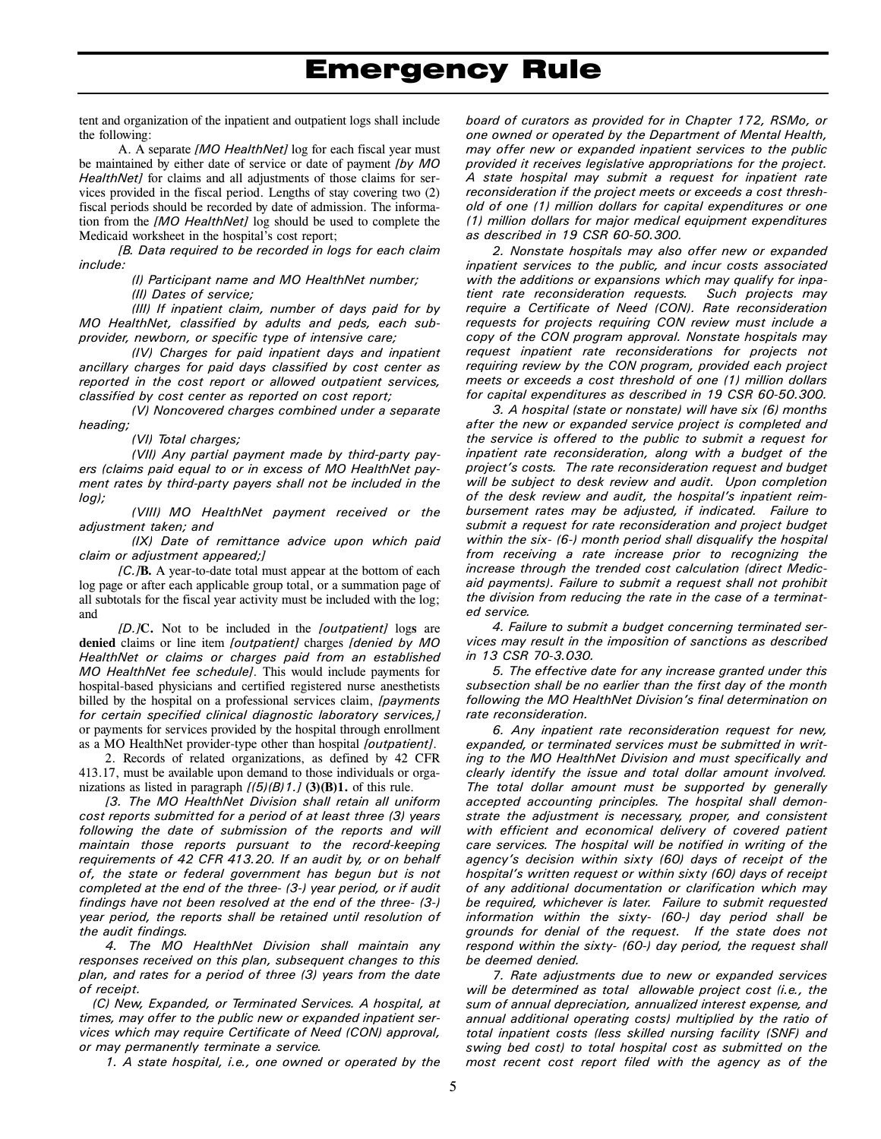tent and organization of the inpatient and outpatient logs shall include the following:

A. A separate *[MO HealthNet]* log for each fiscal year must be maintained by either date of service or date of payment *[by MO HealthNet]* for claims and all adjustments of those claims for services provided in the fiscal period. Lengths of stay covering two (2) fiscal periods should be recorded by date of admission. The information from the *[MO HealthNet]* log should be used to complete the Medicaid worksheet in the hospital's cost report;

*[B. Data required to be recorded in logs for each claim include:* 

*(I) Participant name and MO HealthNet number; (II) Dates of service;* 

*(III) If inpatient claim, number of days paid for by MO HealthNet, classified by adults and peds, each subprovider, newborn, or specific type of intensive care;* 

*(IV) Charges for paid inpatient days and inpatient ancillary charges for paid days classified by cost center as reported in the cost report or allowed outpatient services, classified by cost center as reported on cost report;* 

*(V) Noncovered charges combined under a separate heading;* 

*(VI) Total charges;* 

*(VII) Any partial payment made by third-party payers (claims paid equal to or in excess of MO HealthNet payment rates by third-party payers shall not be included in the log);* 

*(VIII) MO HealthNet payment received or the adjustment taken; and* 

*(IX) Date of remittance advice upon which paid claim or adjustment appeared;]* 

*[C.]***B.** A year-to-date total must appear at the bottom of each log page or after each applicable group total, or a summation page of all subtotals for the fiscal year activity must be included with the log; and

*[D.]***C.** Not to be included in the *[outpatient]* log**s** are **denied** claims or line item *[outpatient]* charges *[denied by MO HealthNet or claims or charges paid from an established MO HealthNet fee schedule]*. This would include payments for hospital-based physicians and certified registered nurse anesthetists billed by the hospital on a professional services claim, *[payments for certain specified clinical diagnostic laboratory services,]* or payments for services provided by the hospital through enrollment as a MO HealthNet provider-type other than hospital *[outpatient]*.

2. Records of related organizations, as defined by 42 CFR 413.17, must be available upon demand to those individuals or organizations as listed in paragraph *[(5)(B)1.]* **(3)(B)1.** of this rule.

*[3. The MO HealthNet Division shall retain all uniform cost reports submitted for a period of at least three (3) years following the date of submission of the reports and will maintain those reports pursuant to the record-keeping requirements of 42 CFR 413.20. If an audit by, or on behalf of, the state or federal government has begun but is not completed at the end of the three- (3-) year period, or if audit findings have not been resolved at the end of the three- (3-) year period, the reports shall be retained until resolution of the audit findings.* 

*4. The MO HealthNet Division shall maintain any responses received on this plan, subsequent changes to this plan, and rates for a period of three (3) years from the date of receipt.* 

*(C) New, Expanded, or Terminated Services. A hospital, at times, may offer to the public new or expanded inpatient services which may require Certificate of Need (CON) approval, or may permanently terminate a service.* 

*1. A state hospital, i.e., one owned or operated by the* 

*board of curators as provided for in Chapter 172, RSMo, or one owned or operated by the Department of Mental Health, may offer new or expanded inpatient services to the public provided it receives legislative appropriations for the project. A state hospital may submit a request for inpatient rate reconsideration if the project meets or exceeds a cost threshold of one (1) million dollars for capital expenditures or one (1) million dollars for major medical equipment expenditures as described in 19 CSR 60-50.300.* 

*2. Nonstate hospitals may also offer new or expanded inpatient services to the public, and incur costs associated with the additions or expansions which may qualify for inpatient rate reconsideration requests. Such projects may require a Certificate of Need (CON). Rate reconsideration requests for projects requiring CON review must include a copy of the CON program approval. Nonstate hospitals may request inpatient rate reconsiderations for projects not requiring review by the CON program, provided each project meets or exceeds a cost threshold of one (1) million dollars for capital expenditures as described in 19 CSR 60-50.300.* 

*3. A hospital (state or nonstate) will have six (6) months after the new or expanded service project is completed and the service is offered to the public to submit a request for inpatient rate reconsideration, along with a budget of the project's costs. The rate reconsideration request and budget will be subject to desk review and audit. Upon completion of the desk review and audit, the hospital's inpatient reimbursement rates may be adjusted, if indicated. Failure to submit a request for rate reconsideration and project budget within the six- (6-) month period shall disqualify the hospital from receiving a rate increase prior to recognizing the increase through the trended cost calculation (direct Medicaid payments). Failure to submit a request shall not prohibit the division from reducing the rate in the case of a terminated service.* 

*4. Failure to submit a budget concerning terminated services may result in the imposition of sanctions as described in 13 CSR 70-3.030.* 

*5. The effective date for any increase granted under this subsection shall be no earlier than the first day of the month following the MO HealthNet Division's final determination on rate reconsideration.* 

*6. Any inpatient rate reconsideration request for new, expanded, or terminated services must be submitted in writing to the MO HealthNet Division and must specifically and clearly identify the issue and total dollar amount involved. The total dollar amount must be supported by generally accepted accounting principles. The hospital shall demonstrate the adjustment is necessary, proper, and consistent with efficient and economical delivery of covered patient care services. The hospital will be notified in writing of the agency's decision within sixty (60) days of receipt of the hospital's written request or within sixty (60) days of receipt of any additional documentation or clarification which may be required, whichever is later. Failure to submit requested information within the sixty- (60-) day period shall be grounds for denial of the request. If the state does not respond within the sixty- (60-) day period, the request shall be deemed denied.* 

*7. Rate adjustments due to new or expanded services will be determined as total allowable project cost (i.e., the sum of annual depreciation, annualized interest expense, and annual additional operating costs) multiplied by the ratio of total inpatient costs (less skilled nursing facility (SNF) and swing bed cost) to total hospital cost as submitted on the most recent cost report filed with the agency as of the*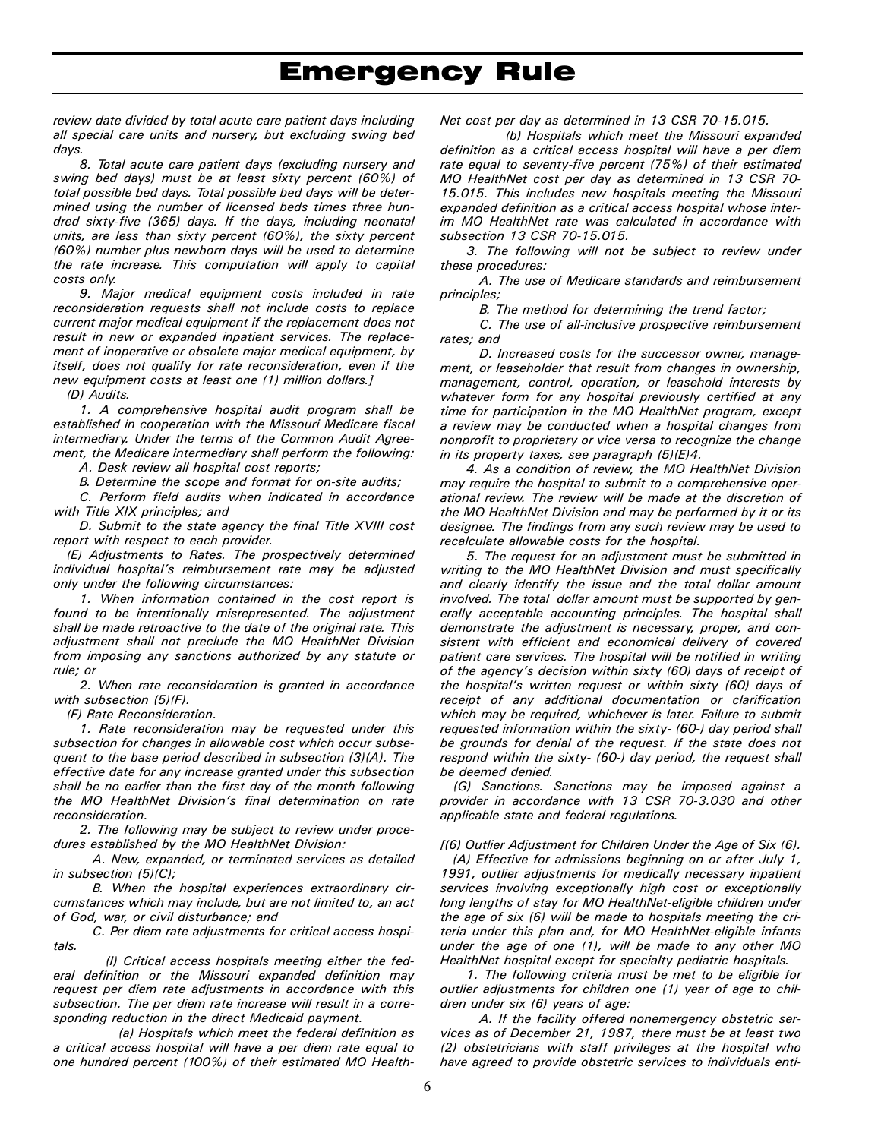*review date divided by total acute care patient days including all special care units and nursery, but excluding swing bed days.* 

*8. Total acute care patient days (excluding nursery and swing bed days) must be at least sixty percent (60%) of total possible bed days. Total possible bed days will be determined using the number of licensed beds times three hundred sixty-five (365) days. If the days, including neonatal units, are less than sixty percent (60%), the sixty percent (60%) number plus newborn days will be used to determine the rate increase. This computation will apply to capital costs only.* 

*9. Major medical equipment costs included in rate reconsideration requests shall not include costs to replace current major medical equipment if the replacement does not result in new or expanded inpatient services. The replacement of inoperative or obsolete major medical equipment, by itself, does not qualify for rate reconsideration, even if the new equipment costs at least one (1) million dollars.]* 

*(D) Audits.* 

*1. A comprehensive hospital audit program shall be established in cooperation with the Missouri Medicare fiscal intermediary. Under the terms of the Common Audit Agreement, the Medicare intermediary shall perform the following:* 

*A. Desk review all hospital cost reports;* 

*B. Determine the scope and format for on-site audits;* 

*C. Perform field audits when indicated in accordance with Title XIX principles; and* 

*D. Submit to the state agency the final Title XVIII cost report with respect to each provider.* 

*(E) Adjustments to Rates. The prospectively determined individual hospital's reimbursement rate may be adjusted only under the following circumstances:* 

*1. When information contained in the cost report is found to be intentionally misrepresented. The adjustment shall be made retroactive to the date of the original rate. This adjustment shall not preclude the MO HealthNet Division from imposing any sanctions authorized by any statute or rule; or* 

*2. When rate reconsideration is granted in accordance with subsection (5)(F).* 

*(F) Rate Reconsideration.* 

*1. Rate reconsideration may be requested under this subsection for changes in allowable cost which occur subsequent to the base period described in subsection (3)(A). The effective date for any increase granted under this subsection shall be no earlier than the first day of the month following the MO HealthNet Division's final determination on rate reconsideration.* 

*2. The following may be subject to review under procedures established by the MO HealthNet Division:* 

*A. New, expanded, or terminated services as detailed in subsection (5)(C);* 

*B. When the hospital experiences extraordinary circumstances which may include, but are not limited to, an act of God, war, or civil disturbance; and* 

*C. Per diem rate adjustments for critical access hospitals.* 

*(I) Critical access hospitals meeting either the federal definition or the Missouri expanded definition may request per diem rate adjustments in accordance with this subsection. The per diem rate increase will result in a corresponding reduction in the direct Medicaid payment.* 

*(a) Hospitals which meet the federal definition as a critical access hospital will have a per diem rate equal to one hundred percent (100%) of their estimated MO Health-* *Net cost per day as determined in 13 CSR 70-15.015.* 

*(b) Hospitals which meet the Missouri expanded definition as a critical access hospital will have a per diem rate equal to seventy-five percent (75%) of their estimated MO HealthNet cost per day as determined in 13 CSR 70- 15.015. This includes new hospitals meeting the Missouri expanded definition as a critical access hospital whose interim MO HealthNet rate was calculated in accordance with subsection 13 CSR 70-15.015.* 

*3. The following will not be subject to review under these procedures:* 

*A. The use of Medicare standards and reimbursement principles;* 

*B. The method for determining the trend factor;* 

*C. The use of all-inclusive prospective reimbursement rates; and* 

*D. Increased costs for the successor owner, management, or leaseholder that result from changes in ownership, management, control, operation, or leasehold interests by whatever form for any hospital previously certified at any time for participation in the MO HealthNet program, except a review may be conducted when a hospital changes from nonprofit to proprietary or vice versa to recognize the change in its property taxes, see paragraph (5)(E)4.* 

*4. As a condition of review, the MO HealthNet Division may require the hospital to submit to a comprehensive operational review. The review will be made at the discretion of the MO HealthNet Division and may be performed by it or its designee. The findings from any such review may be used to recalculate allowable costs for the hospital.* 

*5. The request for an adjustment must be submitted in writing to the MO HealthNet Division and must specifically and clearly identify the issue and the total dollar amount involved. The total dollar amount must be supported by generally acceptable accounting principles. The hospital shall demonstrate the adjustment is necessary, proper, and consistent with efficient and economical delivery of covered patient care services. The hospital will be notified in writing of the agency's decision within sixty (60) days of receipt of the hospital's written request or within sixty (60) days of receipt of any additional documentation or clarification which may be required, whichever is later. Failure to submit requested information within the sixty- (60-) day period shall be grounds for denial of the request. If the state does not respond within the sixty- (60-) day period, the request shall be deemed denied.* 

*(G) Sanctions. Sanctions may be imposed against a provider in accordance with 13 CSR 70-3.030 and other applicable state and federal regulations.* 

*[(6) Outlier Adjustment for Children Under the Age of Six (6).* 

*(A) Effective for admissions beginning on or after July 1, 1991, outlier adjustments for medically necessary inpatient services involving exceptionally high cost or exceptionally long lengths of stay for MO HealthNet-eligible children under the age of six (6) will be made to hospitals meeting the criteria under this plan and, for MO HealthNet-eligible infants under the age of one (1), will be made to any other MO HealthNet hospital except for specialty pediatric hospitals.* 

*1. The following criteria must be met to be eligible for outlier adjustments for children one (1) year of age to children under six (6) years of age:* 

*A. If the facility offered nonemergency obstetric services as of December 21, 1987, there must be at least two (2) obstetricians with staff privileges at the hospital who have agreed to provide obstetric services to individuals enti-*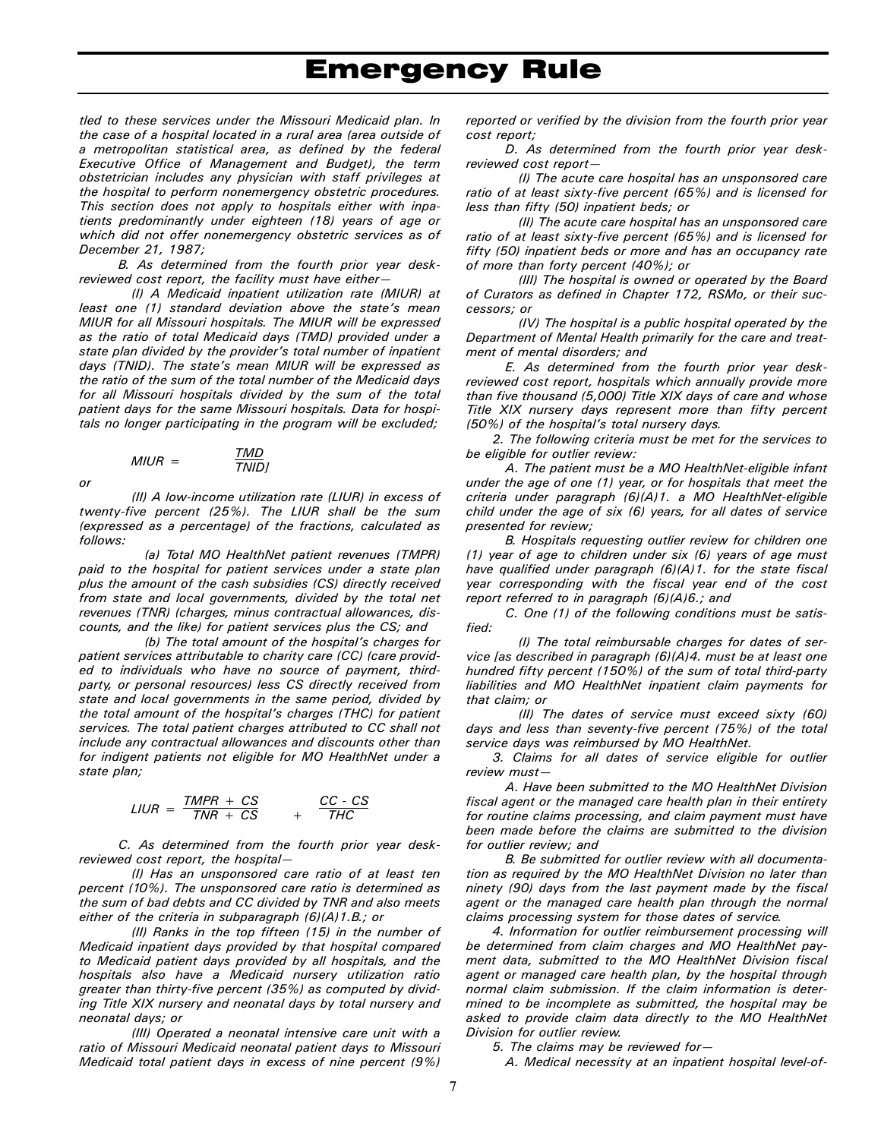*tled to these services under the Missouri Medicaid plan. In the case of a hospital located in a rural area (area outside of a metropolitan statistical area, as defined by the federal Executive Office of Management and Budget), the term obstetrician includes any physician with staff privileges at the hospital to perform nonemergency obstetric procedures. This section does not apply to hospitals either with inpatients predominantly under eighteen (18) years of age or which did not offer nonemergency obstetric services as of December 21, 1987;* 

*B. As determined from the fourth prior year deskreviewed cost report, the facility must have either—* 

*(I) A Medicaid inpatient utilization rate (MIUR) at least one (1) standard deviation above the state's mean MIUR for all Missouri hospitals. The MIUR will be expressed as the ratio of total Medicaid days (TMD) provided under a state plan divided by the provider's total number of inpatient days (TNID). The state's mean MIUR will be expressed as the ratio of the sum of the total number of the Medicaid days for all Missouri hospitals divided by the sum of the total patient days for the same Missouri hospitals. Data for hospitals no longer participating in the program will be excluded;* 

$$
MIUR = \frac{TMD}{TNIDj}
$$

*or* 

*(II) A low-income utilization rate (LIUR) in excess of twenty-five percent (25%). The LIUR shall be the sum (expressed as a percentage) of the fractions, calculated as follows:* 

*(a) Total MO HealthNet patient revenues (TMPR) paid to the hospital for patient services under a state plan plus the amount of the cash subsidies (CS) directly received from state and local governments, divided by the total net revenues (TNR) (charges, minus contractual allowances, discounts, and the like) for patient services plus the CS; and* 

*(b) The total amount of the hospital's charges for patient services attributable to charity care (CC) (care provided to individuals who have no source of payment, thirdparty, or personal resources) less CS directly received from state and local governments in the same period, divided by the total amount of the hospital's charges (THC) for patient services. The total patient charges attributed to CC shall not include any contractual allowances and discounts other than for indigent patients not eligible for MO HealthNet under a state plan;* 

$$
LIUR = \frac{TMPR + CS}{TNR + CS} + \frac{CC - CS}{THC}
$$

*C. As determined from the fourth prior year deskreviewed cost report, the hospital—* 

*(I) Has an unsponsored care ratio of at least ten percent (10%). The unsponsored care ratio is determined as the sum of bad debts and CC divided by TNR and also meets either of the criteria in subparagraph (6)(A)1.B.; or* 

*(II) Ranks in the top fifteen (15) in the number of Medicaid inpatient days provided by that hospital compared to Medicaid patient days provided by all hospitals, and the hospitals also have a Medicaid nursery utilization ratio greater than thirty-five percent (35%) as computed by dividing Title XIX nursery and neonatal days by total nursery and neonatal days; or* 

*(III) Operated a neonatal intensive care unit with a ratio of Missouri Medicaid neonatal patient days to Missouri Medicaid total patient days in excess of nine percent (9%)* 

*reported or verified by the division from the fourth prior year cost report;* 

*D. As determined from the fourth prior year deskreviewed cost report—* 

*(I) The acute care hospital has an unsponsored care ratio of at least sixty-five percent (65%) and is licensed for less than fifty (50) inpatient beds; or* 

*(II) The acute care hospital has an unsponsored care ratio of at least sixty-five percent (65%) and is licensed for fifty (50) inpatient beds or more and has an occupancy rate of more than forty percent (40%); or* 

*(III) The hospital is owned or operated by the Board of Curators as defined in Chapter 172, RSMo, or their successors; or* 

*(IV) The hospital is a public hospital operated by the Department of Mental Health primarily for the care and treatment of mental disorders; and* 

*E. As determined from the fourth prior year deskreviewed cost report, hospitals which annually provide more than five thousand (5,000) Title XIX days of care and whose Title XIX nursery days represent more than fifty percent (50%) of the hospital's total nursery days.* 

*2. The following criteria must be met for the services to be eligible for outlier review:* 

*A. The patient must be a MO HealthNet-eligible infant under the age of one (1) year, or for hospitals that meet the criteria under paragraph (6)(A)1. a MO HealthNet-eligible child under the age of six (6) years, for all dates of service presented for review;* 

*B. Hospitals requesting outlier review for children one (1) year of age to children under six (6) years of age must have qualified under paragraph (6)(A)1. for the state fiscal year corresponding with the fiscal year end of the cost report referred to in paragraph (6)(A)6.; and* 

*C. One (1) of the following conditions must be satisfied:* 

*(I) The total reimbursable charges for dates of service [as described in paragraph (6)(A)4. must be at least one hundred fifty percent (150%) of the sum of total third-party liabilities and MO HealthNet inpatient claim payments for that claim; or* 

*(II) The dates of service must exceed sixty (60) days and less than seventy-five percent (75%) of the total service days was reimbursed by MO HealthNet.* 

*3. Claims for all dates of service eligible for outlier review must—* 

*A. Have been submitted to the MO HealthNet Division fiscal agent or the managed care health plan in their entirety for routine claims processing, and claim payment must have been made before the claims are submitted to the division for outlier review; and* 

*B. Be submitted for outlier review with all documentation as required by the MO HealthNet Division no later than ninety (90) days from the last payment made by the fiscal agent or the managed care health plan through the normal claims processing system for those dates of service.* 

*4. Information for outlier reimbursement processing will be determined from claim charges and MO HealthNet payment data, submitted to the MO HealthNet Division fiscal agent or managed care health plan, by the hospital through normal claim submission. If the claim information is determined to be incomplete as submitted, the hospital may be asked to provide claim data directly to the MO HealthNet Division for outlier review.* 

*5. The claims may be reviewed for—* 

*A. Medical necessity at an inpatient hospital level-of-*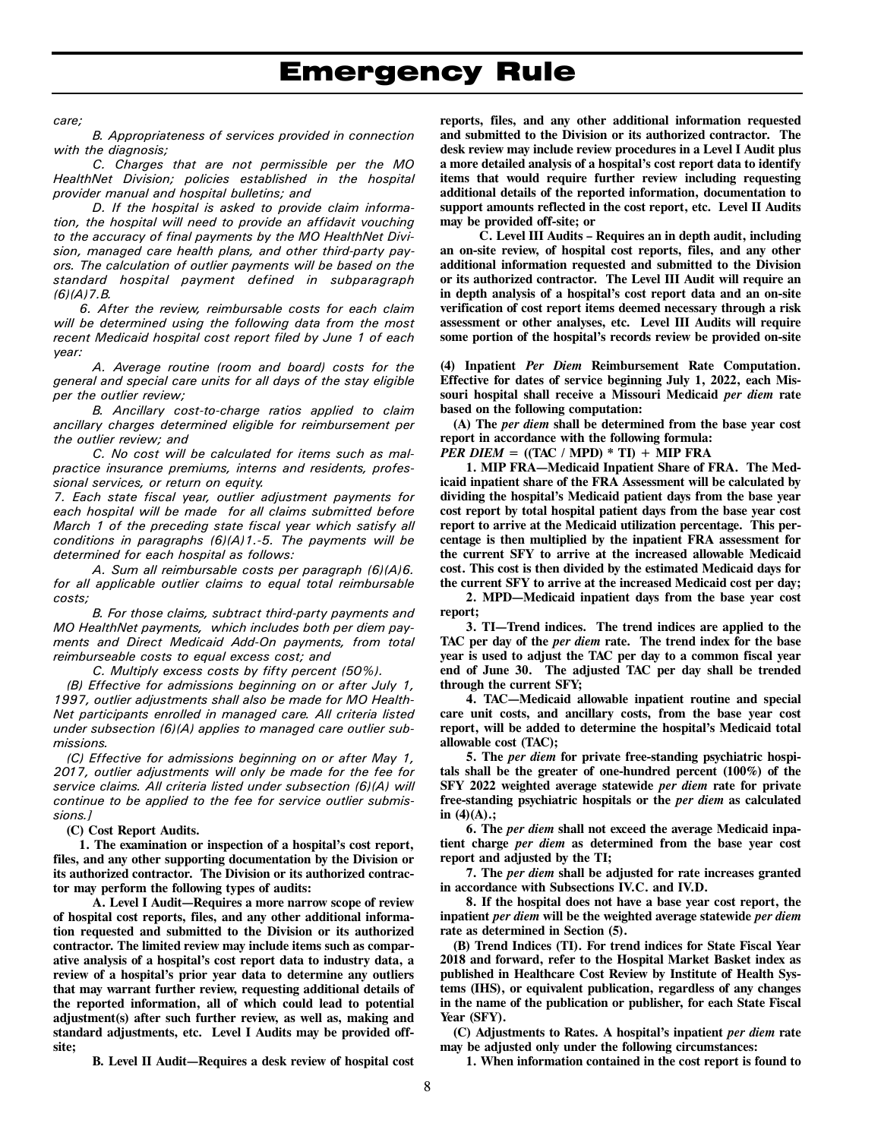*care;* 

*B. Appropriateness of services provided in connection with the diagnosis;* 

*C. Charges that are not permissible per the MO HealthNet Division; policies established in the hospital provider manual and hospital bulletins; and* 

*D. If the hospital is asked to provide claim information, the hospital will need to provide an affidavit vouching to the accuracy of final payments by the MO HealthNet Division, managed care health plans, and other third-party payors. The calculation of outlier payments will be based on the standard hospital payment defined in subparagraph (6)(A)7.B.* 

*6. After the review, reimbursable costs for each claim will be determined using the following data from the most recent Medicaid hospital cost report filed by June 1 of each year:* 

*A. Average routine (room and board) costs for the general and special care units for all days of the stay eligible per the outlier review;* 

*B. Ancillary cost-to-charge ratios applied to claim ancillary charges determined eligible for reimbursement per the outlier review; and* 

*C. No cost will be calculated for items such as malpractice insurance premiums, interns and residents, professional services, or return on equity.* 

*7. Each state fiscal year, outlier adjustment payments for each hospital will be made for all claims submitted before March 1 of the preceding state fiscal year which satisfy all conditions in paragraphs (6)(A)1.-5. The payments will be determined for each hospital as follows:* 

*A. Sum all reimbursable costs per paragraph (6)(A)6. for all applicable outlier claims to equal total reimbursable costs;* 

*B. For those claims, subtract third-party payments and MO HealthNet payments, which includes both per diem payments and Direct Medicaid Add-On payments, from total reimburseable costs to equal excess cost; and* 

*C. Multiply excess costs by fifty percent (50%).* 

*(B) Effective for admissions beginning on or after July 1, 1997, outlier adjustments shall also be made for MO Health-Net participants enrolled in managed care. All criteria listed under subsection (6)(A) applies to managed care outlier submissions.* 

*(C) Effective for admissions beginning on or after May 1, 2017, outlier adjustments will only be made for the fee for service claims. All criteria listed under subsection (6)(A) will continue to be applied to the fee for service outlier submissions.]* 

**(C) Cost Report Audits.** 

**1. The examination or inspection of a hospital's cost report, files, and any other supporting documentation by the Division or its authorized contractor. The Division or its authorized contractor may perform the following types of audits:**

**A. Level I Audit—Requires a more narrow scope of review of hospital cost reports, files, and any other additional information requested and submitted to the Division or its authorized contractor. The limited review may include items such as comparative analysis of a hospital's cost report data to industry data, a review of a hospital's prior year data to determine any outliers that may warrant further review, requesting additional details of the reported information, all of which could lead to potential adjustment(s) after such further review, as well as, making and standard adjustments, etc. Level I Audits may be provided offsite;** 

**B. Level II Audit—Requires a desk review of hospital cost** 

**reports, files, and any other additional information requested and submitted to the Division or its authorized contractor. The desk review may include review procedures in a Level I Audit plus a more detailed analysis of a hospital's cost report data to identify items that would require further review including requesting additional details of the reported information, documentation to support amounts reflected in the cost report, etc. Level II Audits may be provided off-site; or** 

**C. Level III Audits – Requires an in depth audit, including an on-site review, of hospital cost reports, files, and any other additional information requested and submitted to the Division or its authorized contractor. The Level III Audit will require an in depth analysis of a hospital's cost report data and an on-site verification of cost report items deemed necessary through a risk assessment or other analyses, etc. Level III Audits will require some portion of the hospital's records review be provided on-site** 

**(4) Inpatient** *Per Diem* **Reimbursement Rate Computation. Effective for dates of service beginning July 1, 2022, each Missouri hospital shall receive a Missouri Medicaid** *per diem* **rate based on the following computation:** 

**(A) The** *per diem* **shall be determined from the base year cost report in accordance with the following formula:** 

*PER DIEM* =  $((TAC / MPD) * TI) + MIP FRA$ 

**1. MIP FRA—Medicaid Inpatient Share of FRA. The Medicaid inpatient share of the FRA Assessment will be calculated by dividing the hospital's Medicaid patient days from the base year cost report by total hospital patient days from the base year cost report to arrive at the Medicaid utilization percentage. This percentage is then multiplied by the inpatient FRA assessment for the current SFY to arrive at the increased allowable Medicaid cost. This cost is then divided by the estimated Medicaid days for the current SFY to arrive at the increased Medicaid cost per day;** 

**2. MPD—Medicaid inpatient days from the base year cost report;** 

**3. TI—Trend indices. The trend indices are applied to the TAC per day of the** *per diem* **rate. The trend index for the base year is used to adjust the TAC per day to a common fiscal year end of June 30. The adjusted TAC per day shall be trended through the current SFY;** 

**4. TAC—Medicaid allowable inpatient routine and special care unit costs, and ancillary costs, from the base year cost report, will be added to determine the hospital's Medicaid total allowable cost (TAC);**

**5. The** *per diem* **for private free-standing psychiatric hospitals shall be the greater of one-hundred percent (100%) of the SFY 2022 weighted average statewide** *per diem* **rate for private free-standing psychiatric hospitals or the** *per diem* **as calculated in (4)(A).;** 

**6. The** *per diem* **shall not exceed the average Medicaid inpatient charge** *per diem* **as determined from the base year cost report and adjusted by the TI;** 

**7. The** *per diem* **shall be adjusted for rate increases granted in accordance with Subsections IV.C. and IV.D.**

**8. If the hospital does not have a base year cost report, the inpatient** *per diem* **will be the weighted average statewide** *per diem* **rate as determined in Section (5).** 

**(B) Trend Indices (TI). For trend indices for State Fiscal Year 2018 and forward, refer to the Hospital Market Basket index as published in Healthcare Cost Review by Institute of Health Systems (IHS), or equivalent publication, regardless of any changes in the name of the publication or publisher, for each State Fiscal Year (SFY).** 

**(C) Adjustments to Rates. A hospital's inpatient** *per diem* **rate may be adjusted only under the following circumstances:** 

**1. When information contained in the cost report is found to**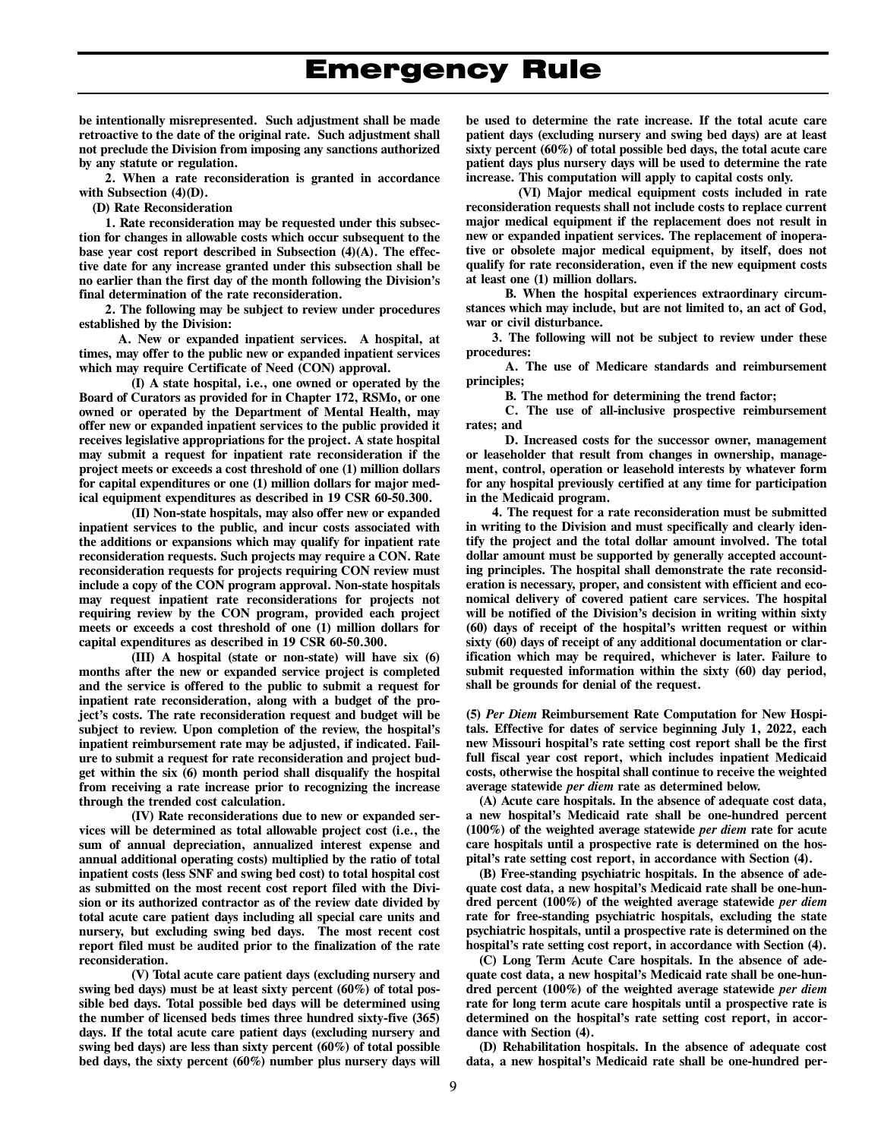**be intentionally misrepresented. Such adjustment shall be made retroactive to the date of the original rate. Such adjustment shall not preclude the Division from imposing any sanctions authorized by any statute or regulation.** 

**2. When a rate reconsideration is granted in accordance with Subsection (4)(D).** 

**(D) Rate Reconsideration** 

**1. Rate reconsideration may be requested under this subsection for changes in allowable costs which occur subsequent to the base year cost report described in Subsection (4)(A). The effective date for any increase granted under this subsection shall be no earlier than the first day of the month following the Division's final determination of the rate reconsideration.** 

**2. The following may be subject to review under procedures established by the Division:** 

**A. New or expanded inpatient services. A hospital, at times, may offer to the public new or expanded inpatient services which may require Certificate of Need (CON) approval.** 

**(I) A state hospital, i.e., one owned or operated by the Board of Curators as provided for in Chapter 172, RSMo, or one owned or operated by the Department of Mental Health, may offer new or expanded inpatient services to the public provided it receives legislative appropriations for the project. A state hospital may submit a request for inpatient rate reconsideration if the project meets or exceeds a cost threshold of one (1) million dollars for capital expenditures or one (1) million dollars for major medical equipment expenditures as described in 19 CSR 60-50.300.** 

**(II) Non-state hospitals, may also offer new or expanded inpatient services to the public, and incur costs associated with the additions or expansions which may qualify for inpatient rate reconsideration requests. Such projects may require a CON. Rate reconsideration requests for projects requiring CON review must include a copy of the CON program approval. Non-state hospitals may request inpatient rate reconsiderations for projects not requiring review by the CON program, provided each project meets or exceeds a cost threshold of one (1) million dollars for capital expenditures as described in 19 CSR 60-50.300.** 

**(III) A hospital (state or non-state) will have six (6) months after the new or expanded service project is completed and the service is offered to the public to submit a request for inpatient rate reconsideration, along with a budget of the project's costs. The rate reconsideration request and budget will be subject to review. Upon completion of the review, the hospital's inpatient reimbursement rate may be adjusted, if indicated. Failure to submit a request for rate reconsideration and project budget within the six (6) month period shall disqualify the hospital from receiving a rate increase prior to recognizing the increase through the trended cost calculation.** 

**(IV) Rate reconsiderations due to new or expanded services will be determined as total allowable project cost (i.e., the sum of annual depreciation, annualized interest expense and annual additional operating costs) multiplied by the ratio of total inpatient costs (less SNF and swing bed cost) to total hospital cost as submitted on the most recent cost report filed with the Division or its authorized contractor as of the review date divided by total acute care patient days including all special care units and nursery, but excluding swing bed days. The most recent cost report filed must be audited prior to the finalization of the rate reconsideration.** 

**(V) Total acute care patient days (excluding nursery and swing bed days) must be at least sixty percent (60%) of total possible bed days. Total possible bed days will be determined using the number of licensed beds times three hundred sixty-five (365) days. If the total acute care patient days (excluding nursery and swing bed days) are less than sixty percent (60%) of total possible bed days, the sixty percent (60%) number plus nursery days will** 

**be used to determine the rate increase. If the total acute care patient days (excluding nursery and swing bed days) are at least sixty percent (60%) of total possible bed days, the total acute care patient days plus nursery days will be used to determine the rate increase. This computation will apply to capital costs only.** 

**(VI) Major medical equipment costs included in rate reconsideration requests shall not include costs to replace current major medical equipment if the replacement does not result in new or expanded inpatient services. The replacement of inoperative or obsolete major medical equipment, by itself, does not qualify for rate reconsideration, even if the new equipment costs at least one (1) million dollars.** 

**B. When the hospital experiences extraordinary circumstances which may include, but are not limited to, an act of God, war or civil disturbance.** 

**3. The following will not be subject to review under these procedures:** 

**A. The use of Medicare standards and reimbursement principles;** 

**B. The method for determining the trend factor;** 

**C. The use of all-inclusive prospective reimbursement rates; and** 

**D. Increased costs for the successor owner, management or leaseholder that result from changes in ownership, management, control, operation or leasehold interests by whatever form for any hospital previously certified at any time for participation in the Medicaid program.** 

**4. The request for a rate reconsideration must be submitted in writing to the Division and must specifically and clearly identify the project and the total dollar amount involved. The total dollar amount must be supported by generally accepted accounting principles. The hospital shall demonstrate the rate reconsideration is necessary, proper, and consistent with efficient and economical delivery of covered patient care services. The hospital will be notified of the Division's decision in writing within sixty (60) days of receipt of the hospital's written request or within sixty (60) days of receipt of any additional documentation or clarification which may be required, whichever is later. Failure to submit requested information within the sixty (60) day period, shall be grounds for denial of the request.** 

**(5)** *Per Diem* **Reimbursement Rate Computation for New Hospitals. Effective for dates of service beginning July 1, 2022, each new Missouri hospital's rate setting cost report shall be the first full fiscal year cost report, which includes inpatient Medicaid costs, otherwise the hospital shall continue to receive the weighted average statewide** *per diem* **rate as determined below.** 

**(A) Acute care hospitals. In the absence of adequate cost data, a new hospital's Medicaid rate shall be one-hundred percent (100%) of the weighted average statewide** *per diem* **rate for acute care hospitals until a prospective rate is determined on the hospital's rate setting cost report, in accordance with Section (4).** 

**(B) Free-standing psychiatric hospitals. In the absence of adequate cost data, a new hospital's Medicaid rate shall be one-hundred percent (100%) of the weighted average statewide** *per diem* **rate for free-standing psychiatric hospitals, excluding the state psychiatric hospitals, until a prospective rate is determined on the hospital's rate setting cost report, in accordance with Section (4).** 

**(C) Long Term Acute Care hospitals. In the absence of adequate cost data, a new hospital's Medicaid rate shall be one-hundred percent (100%) of the weighted average statewide** *per diem* **rate for long term acute care hospitals until a prospective rate is determined on the hospital's rate setting cost report, in accordance with Section (4).** 

**(D) Rehabilitation hospitals. In the absence of adequate cost data, a new hospital's Medicaid rate shall be one-hundred per-**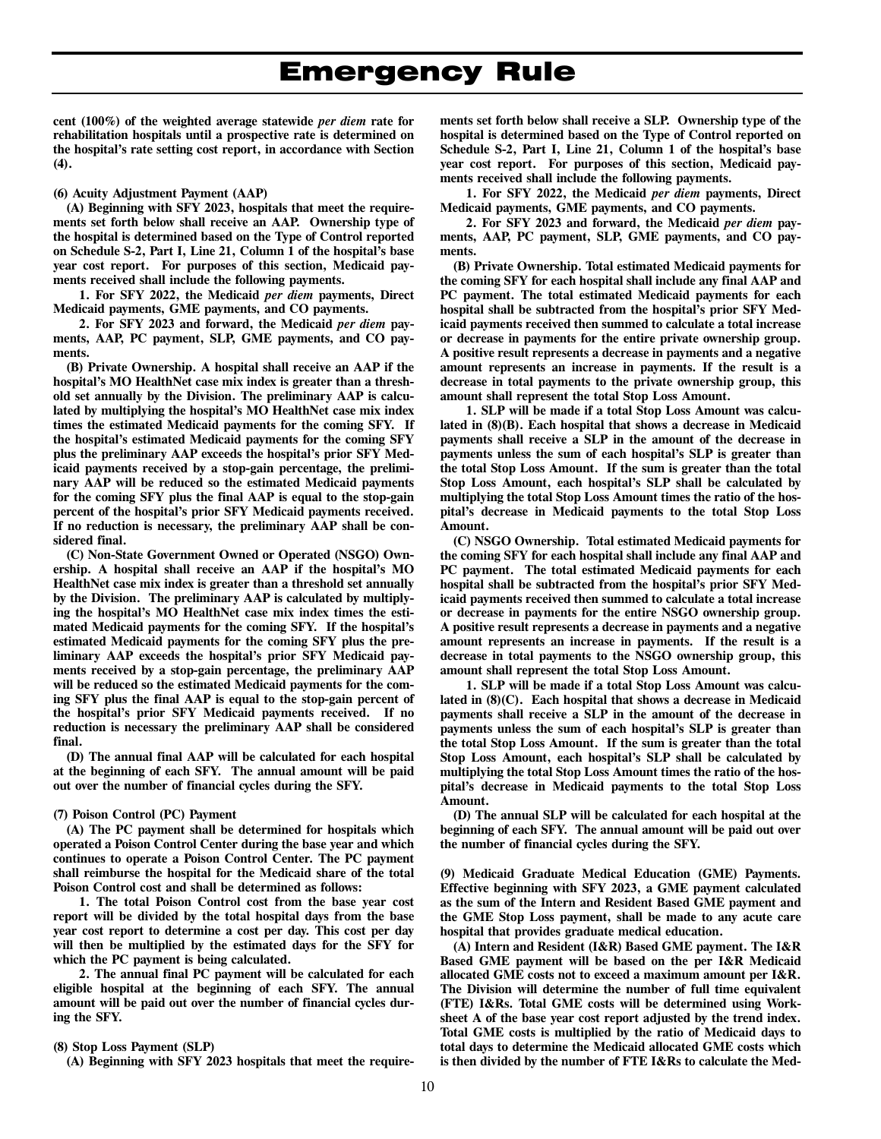**cent (100%) of the weighted average statewide** *per diem* **rate for rehabilitation hospitals until a prospective rate is determined on the hospital's rate setting cost report, in accordance with Section (4).** 

#### **(6) Acuity Adjustment Payment (AAP)**

**(A) Beginning with SFY 2023, hospitals that meet the requirements set forth below shall receive an AAP. Ownership type of the hospital is determined based on the Type of Control reported on Schedule S-2, Part I, Line 21, Column 1 of the hospital's base year cost report. For purposes of this section, Medicaid payments received shall include the following payments.** 

**1. For SFY 2022, the Medicaid** *per diem* **payments, Direct Medicaid payments, GME payments, and CO payments.** 

**2. For SFY 2023 and forward, the Medicaid** *per diem* **payments, AAP, PC payment, SLP, GME payments, and CO payments.** 

**(B) Private Ownership. A hospital shall receive an AAP if the hospital's MO HealthNet case mix index is greater than a threshold set annually by the Division. The preliminary AAP is calculated by multiplying the hospital's MO HealthNet case mix index times the estimated Medicaid payments for the coming SFY. If the hospital's estimated Medicaid payments for the coming SFY plus the preliminary AAP exceeds the hospital's prior SFY Medicaid payments received by a stop-gain percentage, the preliminary AAP will be reduced so the estimated Medicaid payments for the coming SFY plus the final AAP is equal to the stop-gain percent of the hospital's prior SFY Medicaid payments received. If no reduction is necessary, the preliminary AAP shall be considered final.** 

**(C) Non-State Government Owned or Operated (NSGO) Ownership. A hospital shall receive an AAP if the hospital's MO HealthNet case mix index is greater than a threshold set annually by the Division. The preliminary AAP is calculated by multiplying the hospital's MO HealthNet case mix index times the estimated Medicaid payments for the coming SFY. If the hospital's estimated Medicaid payments for the coming SFY plus the preliminary AAP exceeds the hospital's prior SFY Medicaid payments received by a stop-gain percentage, the preliminary AAP will be reduced so the estimated Medicaid payments for the coming SFY plus the final AAP is equal to the stop-gain percent of the hospital's prior SFY Medicaid payments received. If no reduction is necessary the preliminary AAP shall be considered final.** 

**(D) The annual final AAP will be calculated for each hospital at the beginning of each SFY. The annual amount will be paid out over the number of financial cycles during the SFY.** 

#### **(7) Poison Control (PC) Payment**

**(A) The PC payment shall be determined for hospitals which operated a Poison Control Center during the base year and which continues to operate a Poison Control Center. The PC payment shall reimburse the hospital for the Medicaid share of the total Poison Control cost and shall be determined as follows:** 

**1. The total Poison Control cost from the base year cost report will be divided by the total hospital days from the base year cost report to determine a cost per day. This cost per day will then be multiplied by the estimated days for the SFY for which the PC payment is being calculated.** 

**2. The annual final PC payment will be calculated for each eligible hospital at the beginning of each SFY. The annual amount will be paid out over the number of financial cycles during the SFY.** 

### **(8) Stop Loss Payment (SLP)**

**(A) Beginning with SFY 2023 hospitals that meet the require-**

**ments set forth below shall receive a SLP. Ownership type of the hospital is determined based on the Type of Control reported on Schedule S-2, Part I, Line 21, Column 1 of the hospital's base year cost report. For purposes of this section, Medicaid payments received shall include the following payments.** 

**1. For SFY 2022, the Medicaid** *per diem* **payments, Direct Medicaid payments, GME payments, and CO payments.** 

**2. For SFY 2023 and forward, the Medicaid** *per diem* **payments, AAP, PC payment, SLP, GME payments, and CO payments.** 

**(B) Private Ownership. Total estimated Medicaid payments for the coming SFY for each hospital shall include any final AAP and PC payment. The total estimated Medicaid payments for each hospital shall be subtracted from the hospital's prior SFY Medicaid payments received then summed to calculate a total increase or decrease in payments for the entire private ownership group. A positive result represents a decrease in payments and a negative amount represents an increase in payments. If the result is a decrease in total payments to the private ownership group, this amount shall represent the total Stop Loss Amount.** 

**1. SLP will be made if a total Stop Loss Amount was calculated in (8)(B). Each hospital that shows a decrease in Medicaid payments shall receive a SLP in the amount of the decrease in payments unless the sum of each hospital's SLP is greater than the total Stop Loss Amount. If the sum is greater than the total Stop Loss Amount, each hospital's SLP shall be calculated by multiplying the total Stop Loss Amount times the ratio of the hospital's decrease in Medicaid payments to the total Stop Loss Amount.** 

**(C) NSGO Ownership. Total estimated Medicaid payments for the coming SFY for each hospital shall include any final AAP and PC payment. The total estimated Medicaid payments for each hospital shall be subtracted from the hospital's prior SFY Medicaid payments received then summed to calculate a total increase or decrease in payments for the entire NSGO ownership group. A positive result represents a decrease in payments and a negative amount represents an increase in payments. If the result is a decrease in total payments to the NSGO ownership group, this amount shall represent the total Stop Loss Amount.** 

**1. SLP will be made if a total Stop Loss Amount was calculated in (8)(C). Each hospital that shows a decrease in Medicaid payments shall receive a SLP in the amount of the decrease in payments unless the sum of each hospital's SLP is greater than the total Stop Loss Amount. If the sum is greater than the total Stop Loss Amount, each hospital's SLP shall be calculated by multiplying the total Stop Loss Amount times the ratio of the hospital's decrease in Medicaid payments to the total Stop Loss Amount.** 

**(D) The annual SLP will be calculated for each hospital at the beginning of each SFY. The annual amount will be paid out over the number of financial cycles during the SFY.** 

**(9) Medicaid Graduate Medical Education (GME) Payments. Effective beginning with SFY 2023, a GME payment calculated as the sum of the Intern and Resident Based GME payment and the GME Stop Loss payment, shall be made to any acute care hospital that provides graduate medical education.** 

**(A) Intern and Resident (I&R) Based GME payment. The I&R Based GME payment will be based on the per I&R Medicaid allocated GME costs not to exceed a maximum amount per I&R. The Division will determine the number of full time equivalent (FTE) I&Rs. Total GME costs will be determined using Worksheet A of the base year cost report adjusted by the trend index. Total GME costs is multiplied by the ratio of Medicaid days to total days to determine the Medicaid allocated GME costs which is then divided by the number of FTE I&Rs to calculate the Med-**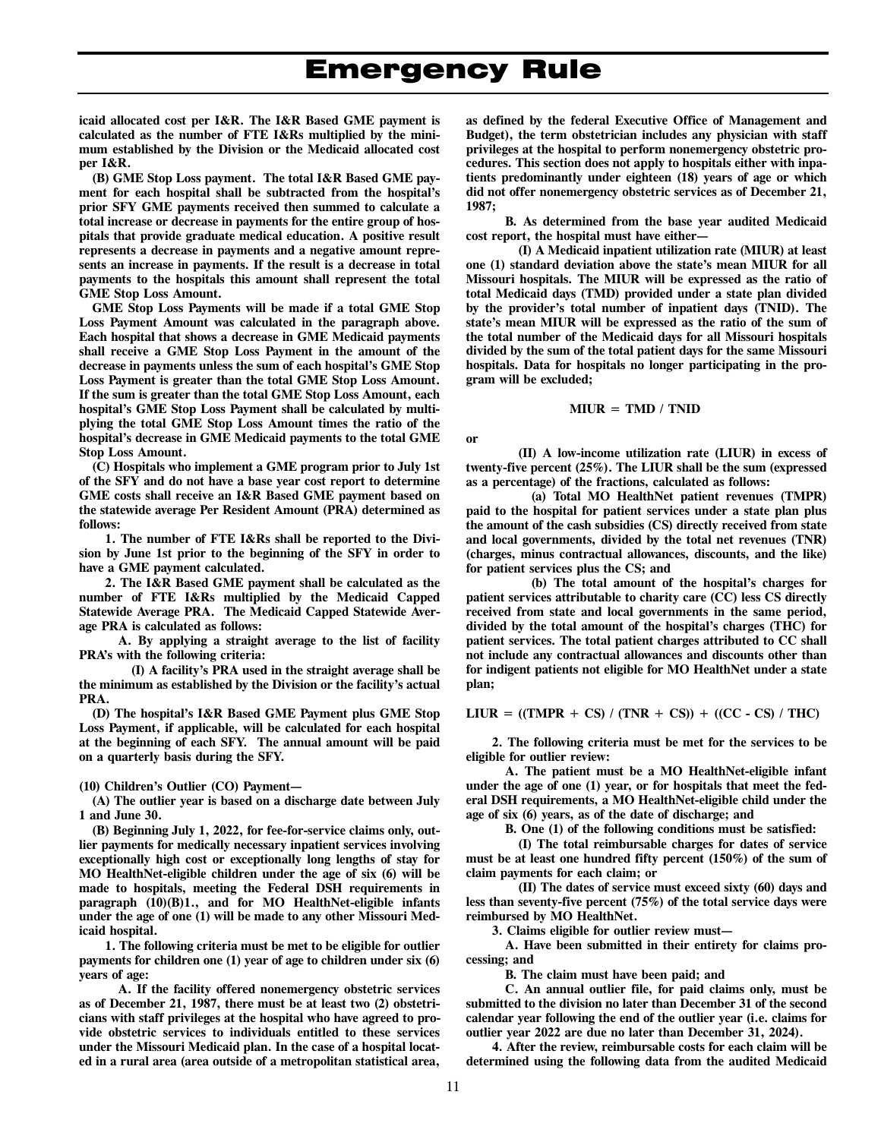**icaid allocated cost per I&R. The I&R Based GME payment is calculated as the number of FTE I&Rs multiplied by the minimum established by the Division or the Medicaid allocated cost per I&R.** 

**(B) GME Stop Loss payment. The total I&R Based GME payment for each hospital shall be subtracted from the hospital's prior SFY GME payments received then summed to calculate a total increase or decrease in payments for the entire group of hospitals that provide graduate medical education. A positive result represents a decrease in payments and a negative amount represents an increase in payments. If the result is a decrease in total payments to the hospitals this amount shall represent the total GME Stop Loss Amount.** 

**GME Stop Loss Payments will be made if a total GME Stop Loss Payment Amount was calculated in the paragraph above. Each hospital that shows a decrease in GME Medicaid payments shall receive a GME Stop Loss Payment in the amount of the decrease in payments unless the sum of each hospital's GME Stop Loss Payment is greater than the total GME Stop Loss Amount. If the sum is greater than the total GME Stop Loss Amount, each hospital's GME Stop Loss Payment shall be calculated by multiplying the total GME Stop Loss Amount times the ratio of the hospital's decrease in GME Medicaid payments to the total GME Stop Loss Amount.** 

**(C) Hospitals who implement a GME program prior to July 1st of the SFY and do not have a base year cost report to determine GME costs shall receive an I&R Based GME payment based on the statewide average Per Resident Amount (PRA) determined as follows:** 

**1. The number of FTE I&Rs shall be reported to the Division by June 1st prior to the beginning of the SFY in order to have a GME payment calculated.** 

**2. The I&R Based GME payment shall be calculated as the number of FTE I&Rs multiplied by the Medicaid Capped Statewide Average PRA. The Medicaid Capped Statewide Average PRA is calculated as follows:** 

**A. By applying a straight average to the list of facility PRA's with the following criteria:** 

**(I) A facility's PRA used in the straight average shall be the minimum as established by the Division or the facility's actual PRA.** 

**(D) The hospital's I&R Based GME Payment plus GME Stop Loss Payment, if applicable, will be calculated for each hospital at the beginning of each SFY. The annual amount will be paid on a quarterly basis during the SFY.** 

**(10) Children's Outlier (CO) Payment—** 

**(A) The outlier year is based on a discharge date between July 1 and June 30.** 

**(B) Beginning July 1, 2022, for fee-for-service claims only, outlier payments for medically necessary inpatient services involving exceptionally high cost or exceptionally long lengths of stay for MO HealthNet-eligible children under the age of six (6) will be made to hospitals, meeting the Federal DSH requirements in paragraph (10)(B)1., and for MO HealthNet-eligible infants under the age of one (1) will be made to any other Missouri Medicaid hospital.** 

**1. The following criteria must be met to be eligible for outlier payments for children one (1) year of age to children under six (6) years of age:** 

**A. If the facility offered nonemergency obstetric services as of December 21, 1987, there must be at least two (2) obstetricians with staff privileges at the hospital who have agreed to provide obstetric services to individuals entitled to these services under the Missouri Medicaid plan. In the case of a hospital located in a rural area (area outside of a metropolitan statistical area,** 

**as defined by the federal Executive Office of Management and Budget), the term obstetrician includes any physician with staff privileges at the hospital to perform nonemergency obstetric procedures. This section does not apply to hospitals either with inpatients predominantly under eighteen (18) years of age or which did not offer nonemergency obstetric services as of December 21, 1987;** 

**B. As determined from the base year audited Medicaid cost report, the hospital must have either—** 

**(I) A Medicaid inpatient utilization rate (MIUR) at least one (1) standard deviation above the state's mean MIUR for all Missouri hospitals. The MIUR will be expressed as the ratio of total Medicaid days (TMD) provided under a state plan divided by the provider's total number of inpatient days (TNID). The state's mean MIUR will be expressed as the ratio of the sum of the total number of the Medicaid days for all Missouri hospitals divided by the sum of the total patient days for the same Missouri hospitals. Data for hospitals no longer participating in the program will be excluded;** 

**MIUR = TMD / TNID** 

**or** 

**(II) A low-income utilization rate (LIUR) in excess of twenty-five percent (25%). The LIUR shall be the sum (expressed as a percentage) of the fractions, calculated as follows:** 

**(a) Total MO HealthNet patient revenues (TMPR) paid to the hospital for patient services under a state plan plus the amount of the cash subsidies (CS) directly received from state and local governments, divided by the total net revenues (TNR) (charges, minus contractual allowances, discounts, and the like) for patient services plus the CS; and** 

**(b) The total amount of the hospital's charges for patient services attributable to charity care (CC) less CS directly received from state and local governments in the same period, divided by the total amount of the hospital's charges (THC) for patient services. The total patient charges attributed to CC shall not include any contractual allowances and discounts other than for indigent patients not eligible for MO HealthNet under a state plan;** 

**LIUR = ((TMPR + CS) / (TNR + CS)) + ((CC - CS) / THC)** 

**2. The following criteria must be met for the services to be eligible for outlier review:** 

**A. The patient must be a MO HealthNet-eligible infant under the age of one (1) year, or for hospitals that meet the federal DSH requirements, a MO HealthNet-eligible child under the age of six (6) years, as of the date of discharge; and** 

**B. One (1) of the following conditions must be satisfied:** 

**(I) The total reimbursable charges for dates of service must be at least one hundred fifty percent (150%) of the sum of claim payments for each claim; or** 

**(II) The dates of service must exceed sixty (60) days and less than seventy-five percent (75%) of the total service days were reimbursed by MO HealthNet.** 

**3. Claims eligible for outlier review must—** 

**A. Have been submitted in their entirety for claims processing; and** 

**B. The claim must have been paid; and** 

**C. An annual outlier file, for paid claims only, must be submitted to the division no later than December 31 of the second calendar year following the end of the outlier year (i.e. claims for outlier year 2022 are due no later than December 31, 2024).** 

**4. After the review, reimbursable costs for each claim will be determined using the following data from the audited Medicaid**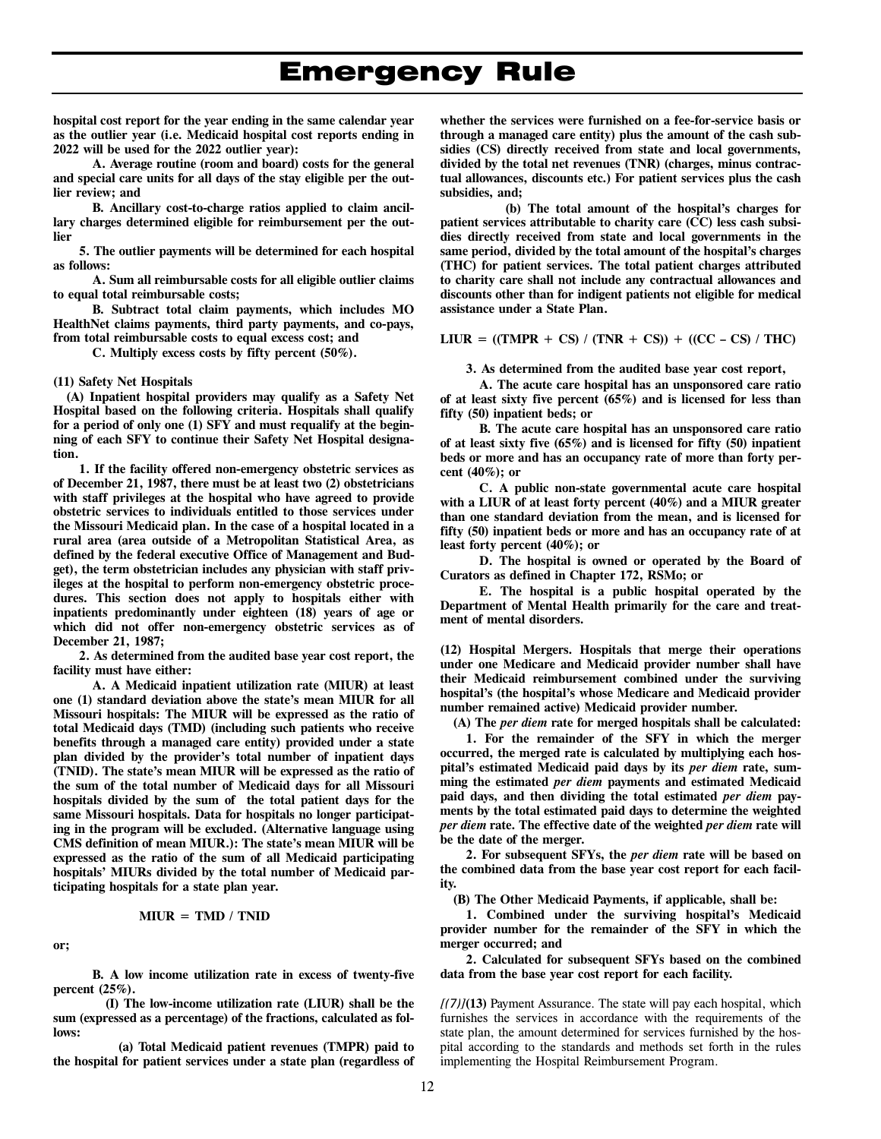**hospital cost report for the year ending in the same calendar year as the outlier year (i.e. Medicaid hospital cost reports ending in 2022 will be used for the 2022 outlier year):** 

**A. Average routine (room and board) costs for the general and special care units for all days of the stay eligible per the outlier review; and** 

**B. Ancillary cost-to-charge ratios applied to claim ancillary charges determined eligible for reimbursement per the outlier** 

**5. The outlier payments will be determined for each hospital as follows:** 

**A. Sum all reimbursable costs for all eligible outlier claims to equal total reimbursable costs;** 

**B. Subtract total claim payments, which includes MO HealthNet claims payments, third party payments, and co-pays, from total reimbursable costs to equal excess cost; and** 

**C. Multiply excess costs by fifty percent (50%).**

### **(11) Safety Net Hospitals**

**(A) Inpatient hospital providers may qualify as a Safety Net Hospital based on the following criteria. Hospitals shall qualify**  for a period of only one (1) SFY and must requalify at the begin**ning of each SFY to continue their Safety Net Hospital designation.** 

**1. If the facility offered non-emergency obstetric services as of December 21, 1987, there must be at least two (2) obstetricians with staff privileges at the hospital who have agreed to provide obstetric services to individuals entitled to those services under the Missouri Medicaid plan. In the case of a hospital located in a rural area (area outside of a Metropolitan Statistical Area, as defined by the federal executive Office of Management and Budget), the term obstetrician includes any physician with staff privileges at the hospital to perform non-emergency obstetric procedures. This section does not apply to hospitals either with inpatients predominantly under eighteen (18) years of age or which did not offer non-emergency obstetric services as of December 21, 1987;** 

**2. As determined from the audited base year cost report, the facility must have either:** 

**A. A Medicaid inpatient utilization rate (MIUR) at least one (1) standard deviation above the state's mean MIUR for all Missouri hospitals: The MIUR will be expressed as the ratio of total Medicaid days (TMD) (including such patients who receive benefits through a managed care entity) provided under a state plan divided by the provider's total number of inpatient days (TNID). The state's mean MIUR will be expressed as the ratio of the sum of the total number of Medicaid days for all Missouri hospitals divided by the sum of the total patient days for the same Missouri hospitals. Data for hospitals no longer participating in the program will be excluded. (Alternative language using CMS definition of mean MIUR.): The state's mean MIUR will be expressed as the ratio of the sum of all Medicaid participating hospitals' MIURs divided by the total number of Medicaid participating hospitals for a state plan year.** 

$$
MIUR = TMD / TNID
$$

**or;** 

**B. A low income utilization rate in excess of twenty-five percent (25%).** 

**(I) The low-income utilization rate (LIUR) shall be the sum (expressed as a percentage) of the fractions, calculated as follows:** 

**(a) Total Medicaid patient revenues (TMPR) paid to the hospital for patient services under a state plan (regardless of**  **whether the services were furnished on a fee-for-service basis or through a managed care entity) plus the amount of the cash subsidies (CS) directly received from state and local governments, divided by the total net revenues (TNR) (charges, minus contractual allowances, discounts etc.) For patient services plus the cash subsidies, and;** 

**(b) The total amount of the hospital's charges for patient services attributable to charity care (CC) less cash subsidies directly received from state and local governments in the same period, divided by the total amount of the hospital's charges (THC) for patient services. The total patient charges attributed to charity care shall not include any contractual allowances and discounts other than for indigent patients not eligible for medical assistance under a State Plan.** 

**LIUR = ((TMPR + CS) / (TNR + CS)) + ((CC – CS) / THC)** 

**3. As determined from the audited base year cost report,** 

**A. The acute care hospital has an unsponsored care ratio**  of at least sixty five percent (65%) and is licensed for less than **fifty (50) inpatient beds; or** 

**B. The acute care hospital has an unsponsored care ratio of at least sixtyfive (65%) and is licensed for fifty (50) inpatient beds or more and has an occupancy rate of more than forty percent (40%); or** 

**C. A public non-state governmental acute care hospital with a LIUR of at least forty percent (40%) and a MIUR greater than one standard deviation from the mean, and is licensed for fifty (50) inpatient beds or more and has an occupancy rate of at least forty percent (40%); or** 

**D. The hospital is owned or operated by the Board of Curators as defined in Chapter 172, RSMo; or** 

**E. The hospital is a public hospital operated by the Department of Mental Health primarily for the care and treatment of mental disorders.** 

**(12) Hospital Mergers. Hospitals that merge their operations under one Medicare and Medicaid provider number shall have their Medicaid reimbursement combined under the surviving hospital's (the hospital's whose Medicare and Medicaid provider number remained active) Medicaid provider number.** 

**(A) The** *per diem* **rate for merged hospitals shall be calculated:** 

**1. For the remainder of the SFY in which the merger occurred, the merged rate is calculated by multiplying each hospital's estimated Medicaid paid days by its** *per diem* **rate, summing the estimated** *per diem* **payments and estimated Medicaid paid days, and then dividing the total estimated** *per diem* **payments by the total estimated paid days to determine the weighted**  *per diem* **rate. The effective date of the weighted** *per diem* **rate will be the date of the merger.** 

**2. For subsequent SFYs, the** *per diem* **rate will be based on the combined data from the base year cost report for each facility.** 

**(B) The Other Medicaid Payments, if applicable, shall be:** 

**1. Combined under the surviving hospital's Medicaid provider number for the remainder of the SFY in which the merger occurred; and** 

**2. Calculated for subsequent SFYs based on the combined data from the base year cost report for each facility.** 

*[(7)]***(13)** Payment Assurance. The state will pay each hospital, which furnishes the services in accordance with the requirements of the state plan, the amount determined for services furnished by the hospital according to the standards and methods set forth in the rules implementing the Hospital Reimbursement Program.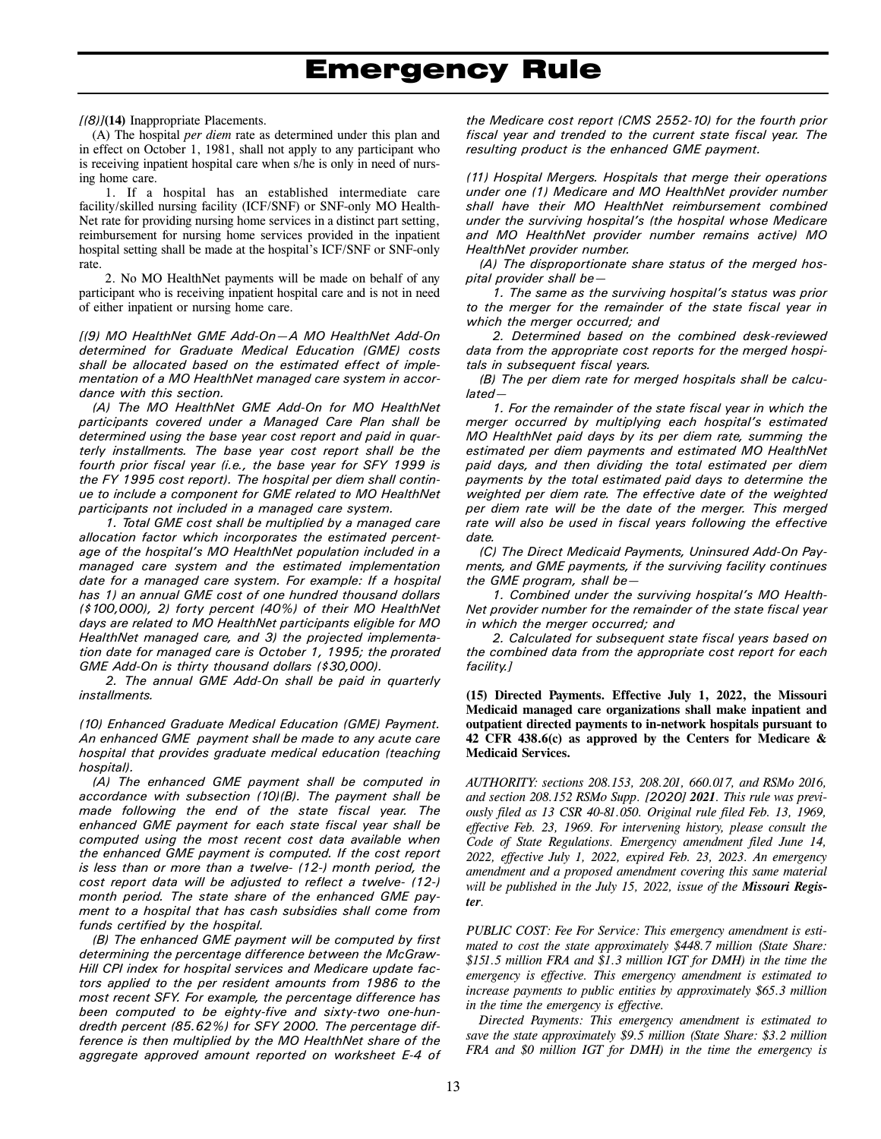*[(8)]***(14)** Inappropriate Placements.

(A) The hospital *per diem* rate as determined under this plan and in effect on October 1, 1981, shall not apply to any participant who is receiving inpatient hospital care when s/he is only in need of nursing home care.

1. If a hospital has an established intermediate care facility/skilled nursing facility (ICF/SNF) or SNF-only MO Health-Net rate for providing nursing home services in a distinct part setting, reimbursement for nursing home services provided in the inpatient hospital setting shall be made at the hospital's ICF/SNF or SNF-only rate.

2. No MO HealthNet payments will be made on behalf of any participant who is receiving inpatient hospital care and is not in need of either inpatient or nursing home care.

*[(9) MO HealthNet GME Add-On—A MO HealthNet Add-On determined for Graduate Medical Education (GME) costs shall be allocated based on the estimated effect of implementation of a MO HealthNet managed care system in accordance with this section.* 

*(A) The MO HealthNet GME Add-On for MO HealthNet participants covered under a Managed Care Plan shall be determined using the base year cost report and paid in quarterly installments. The base year cost report shall be the fourth prior fiscal year (i.e., the base year for SFY 1999 is the FY 1995 cost report). The hospital per diem shall continue to include a component for GME related to MO HealthNet participants not included in a managed care system.* 

*1. Total GME cost shall be multiplied by a managed care allocation factor which incorporates the estimated percentage of the hospital's MO HealthNet population included in a managed care system and the estimated implementation date for a managed care system. For example: If a hospital has 1) an annual GME cost of one hundred thousand dollars (\$100,000), 2) forty percent (40%) of their MO HealthNet days are related to MO HealthNet participants eligible for MO HealthNet managed care, and 3) the projected implementation date for managed care is October 1, 1995; the prorated GME Add-On is thirty thousand dollars (\$30,000).* 

*2. The annual GME Add-On shall be paid in quarterly installments.* 

*(10) Enhanced Graduate Medical Education (GME) Payment. An enhanced GME payment shall be made to any acute care hospital that provides graduate medical education (teaching hospital).* 

*(A) The enhanced GME payment shall be computed in accordance with subsection (10)(B). The payment shall be made following the end of the state fiscal year. The enhanced GME payment for each state fiscal year shall be computed using the most recent cost data available when the enhanced GME payment is computed. If the cost report is less than or more than a twelve- (12-) month period, the cost report data will be adjusted to reflect a twelve- (12-) month period. The state share of the enhanced GME payment to a hospital that has cash subsidies shall come from funds certified by the hospital.* 

*(B) The enhanced GME payment will be computed by first determining the percentage difference between the McGraw-Hill CPI index for hospital services and Medicare update factors applied to the per resident amounts from 1986 to the most recent SFY. For example, the percentage difference has been computed to be eighty-five and sixty-two one-hundredth percent (85.62%) for SFY 2000. The percentage difference is then multiplied by the MO HealthNet share of the aggregate approved amount reported on worksheet E-4 of* 

*the Medicare cost report (CMS 2552-10) for the fourth prior fiscal year and trended to the current state fiscal year. The resulting product is the enhanced GME payment.* 

*(11) Hospital Mergers. Hospitals that merge their operations under one (1) Medicare and MO HealthNet provider number shall have their MO HealthNet reimbursement combined under the surviving hospital's (the hospital whose Medicare and MO HealthNet provider number remains active) MO HealthNet provider number.* 

*(A) The disproportionate share status of the merged hospital provider shall be—* 

*1. The same as the surviving hospital's status was prior to the merger for the remainder of the state fiscal year in which the merger occurred; and* 

*2. Determined based on the combined desk-reviewed data from the appropriate cost reports for the merged hospitals in subsequent fiscal years.* 

*(B) The per diem rate for merged hospitals shall be calculated—* 

*1. For the remainder of the state fiscal year in which the merger occurred by multiplying each hospital's estimated MO HealthNet paid days by its per diem rate, summing the estimated per diem payments and estimated MO HealthNet paid days, and then dividing the total estimated per diem payments by the total estimated paid days to determine the weighted per diem rate. The effective date of the weighted per diem rate will be the date of the merger. This merged rate will also be used in fiscal years following the effective date.* 

*(C) The Direct Medicaid Payments, Uninsured Add-On Payments, and GME payments, if the surviving facility continues the GME program, shall be—* 

*1. Combined under the surviving hospital's MO Health-Net provider number for the remainder of the state fiscal year in which the merger occurred; and* 

*2. Calculated for subsequent state fiscal years based on the combined data from the appropriate cost report for each facility.]*

**(15) Directed Payments. Effective July 1, 2022, the Missouri Medicaid managed care organizations shall make inpatient and outpatient directed payments to in-network hospitals pursuant to 42 CFR 438.6(c) as approved by the Centers for Medicare & Medicaid Services.**

*AUTHORITY: sections 208.153, 208.201, 660.017, and RSMo 2016, and section 208.152 RSMo Supp. [2020] 2021. This rule was previously filed as 13 CSR 40-81.050. Original rule filed Feb. 13, 1969, effective Feb. 23, 1969. For intervening history, please consult the Code of State Regulations. Emergency amendment filed June 14, 2022, effective July 1, 2022, expired Feb. 23, 2023. An emergency amendment and a proposed amendment covering this same material will be published in the July 15, 2022, issue of the Missouri Register.* 

*PUBLIC COST: Fee For Service: This emergency amendment is estimated to cost the state approximately \$448.7 million (State Share: \$151.5 million FRA and \$1.3 million IGT for DMH) in the time the emergency is effective. This emergency amendment is estimated to increase payments to public entities by approximately \$65.3 million in the time the emergency is effective.* 

*Directed Payments: This emergency amendment is estimated to save the state approximately \$9.5 million (State Share: \$3.2 million FRA and \$0 million IGT for DMH) in the time the emergency is*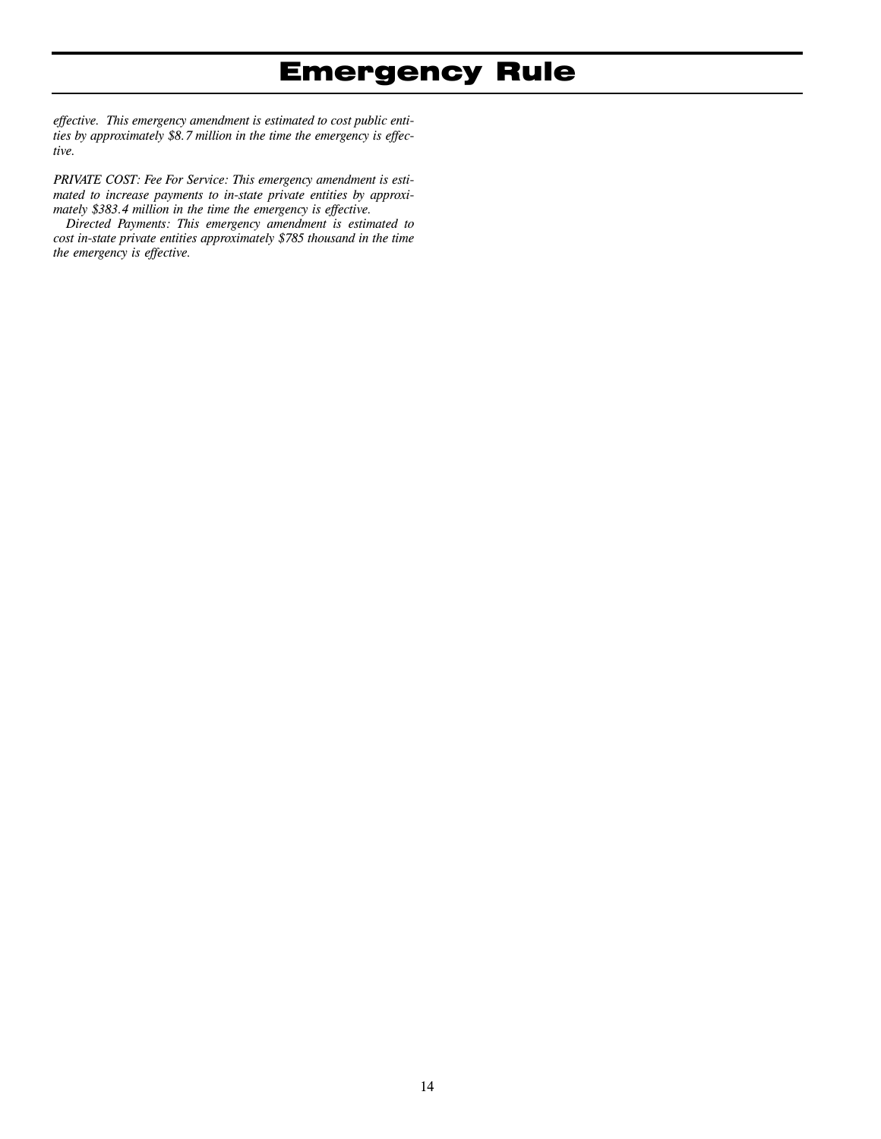*effective. This emergency amendment is estimated to cost public entities by approximately \$8.7 million in the time the emergency is effective.* 

*PRIVATE COST: Fee For Service: This emergency amendment is estimated to increase payments to in-state private entities by approximately \$383.4 million in the time the emergency is effective.* 

*Directed Payments: This emergency amendment is estimated to cost in-state private entities approximately \$785 thousand in the time the emergency is effective.*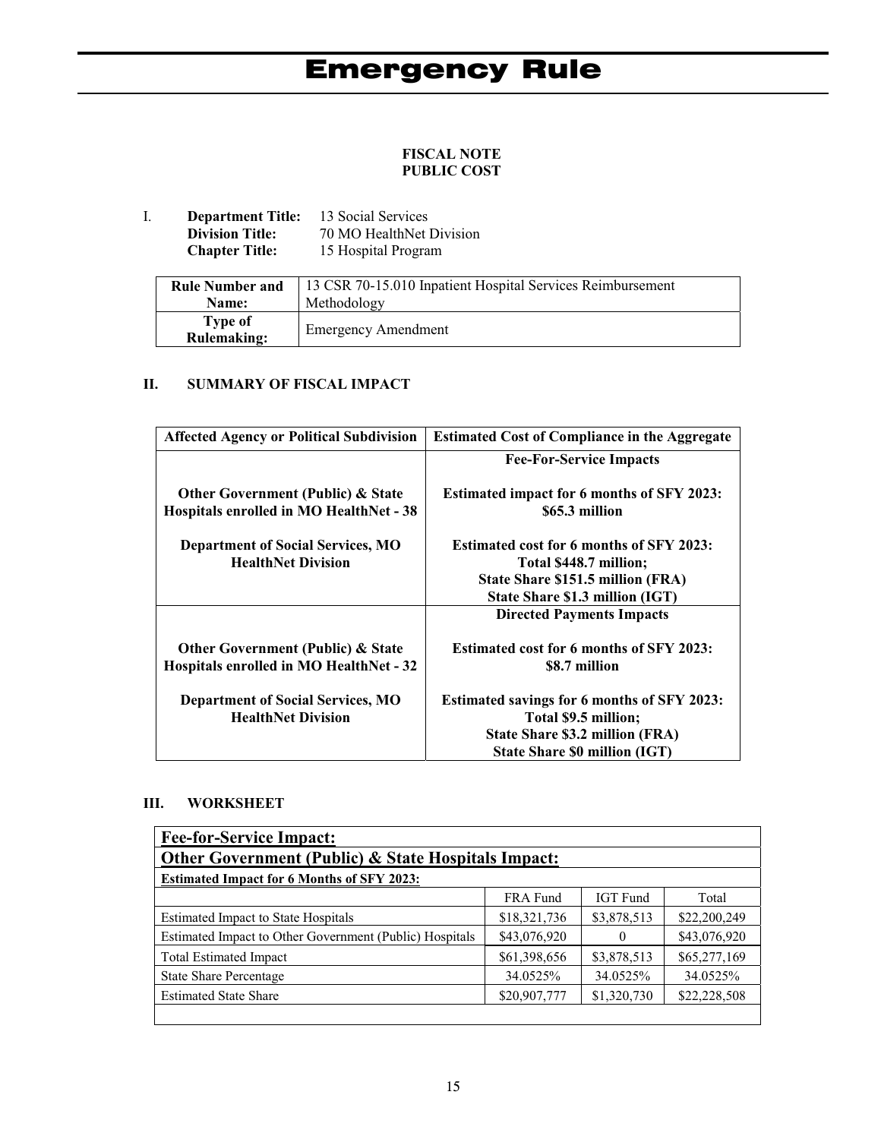### **FISCAL NOTE PUBLIC COST**

I. **Department Title:** 13 Social Services<br>Division Title: 70 MO HealthNet 1 **Division Title:** 70 MO HealthNet Division<br>**Chapter Title:** 15 Hospital Program 15 Hospital Program

| <b>Rule Number and</b>        | 13 CSR 70-15.010 Inpatient Hospital Services Reimbursement |
|-------------------------------|------------------------------------------------------------|
| <b>Name:</b>                  | Methodology                                                |
| Type of<br><b>Rulemaking:</b> | <b>Emergency Amendment</b>                                 |

### **II. SUMMARY OF FISCAL IMPACT**

| <b>Affected Agency or Political Subdivision</b>                                         | <b>Estimated Cost of Compliance in the Aggregate</b>                       |
|-----------------------------------------------------------------------------------------|----------------------------------------------------------------------------|
|                                                                                         | <b>Fee-For-Service Impacts</b>                                             |
| <b>Other Government (Public) &amp; State</b><br>Hospitals enrolled in MO HealthNet - 38 | <b>Estimated impact for 6 months of SFY 2023:</b><br>\$65.3 million        |
|                                                                                         |                                                                            |
| <b>Department of Social Services, MO</b>                                                | <b>Estimated cost for 6 months of SFY 2023:</b>                            |
| <b>HealthNet Division</b>                                                               | Total \$448.7 million;                                                     |
|                                                                                         | State Share \$151.5 million (FRA)                                          |
|                                                                                         | State Share \$1.3 million (IGT)                                            |
|                                                                                         | <b>Directed Payments Impacts</b>                                           |
| <b>Other Government (Public) &amp; State</b><br>Hospitals enrolled in MO HealthNet - 32 | <b>Estimated cost for 6 months of SFY 2023:</b><br>\$8.7 million           |
| <b>Department of Social Services, MO</b><br><b>HealthNet Division</b>                   | <b>Estimated savings for 6 months of SFY 2023:</b><br>Total \$9.5 million; |
|                                                                                         | State Share \$3.2 million (FRA)                                            |
|                                                                                         | <b>State Share \$0 million (IGT)</b>                                       |

### **III. WORKSHEET**

| <b>Fee-for-Service Impact:</b>                          |              |                 |              |  |
|---------------------------------------------------------|--------------|-----------------|--------------|--|
| Other Government (Public) & State Hospitals Impact:     |              |                 |              |  |
| <b>Estimated Impact for 6 Months of SFY 2023:</b>       |              |                 |              |  |
|                                                         | FRA Fund     | <b>IGT</b> Fund | Total        |  |
| <b>Estimated Impact to State Hospitals</b>              | \$18,321,736 | \$3,878,513     | \$22,200,249 |  |
| Estimated Impact to Other Government (Public) Hospitals | \$43,076,920 | $\theta$        | \$43,076,920 |  |
| <b>Total Estimated Impact</b>                           | \$61,398,656 | \$3,878,513     | \$65,277,169 |  |
| <b>State Share Percentage</b>                           | 34.0525%     | 34.0525%        | 34.0525%     |  |
| <b>Estimated State Share</b>                            | \$20,907,777 | \$1,320,730     | \$22,228,508 |  |
|                                                         |              |                 |              |  |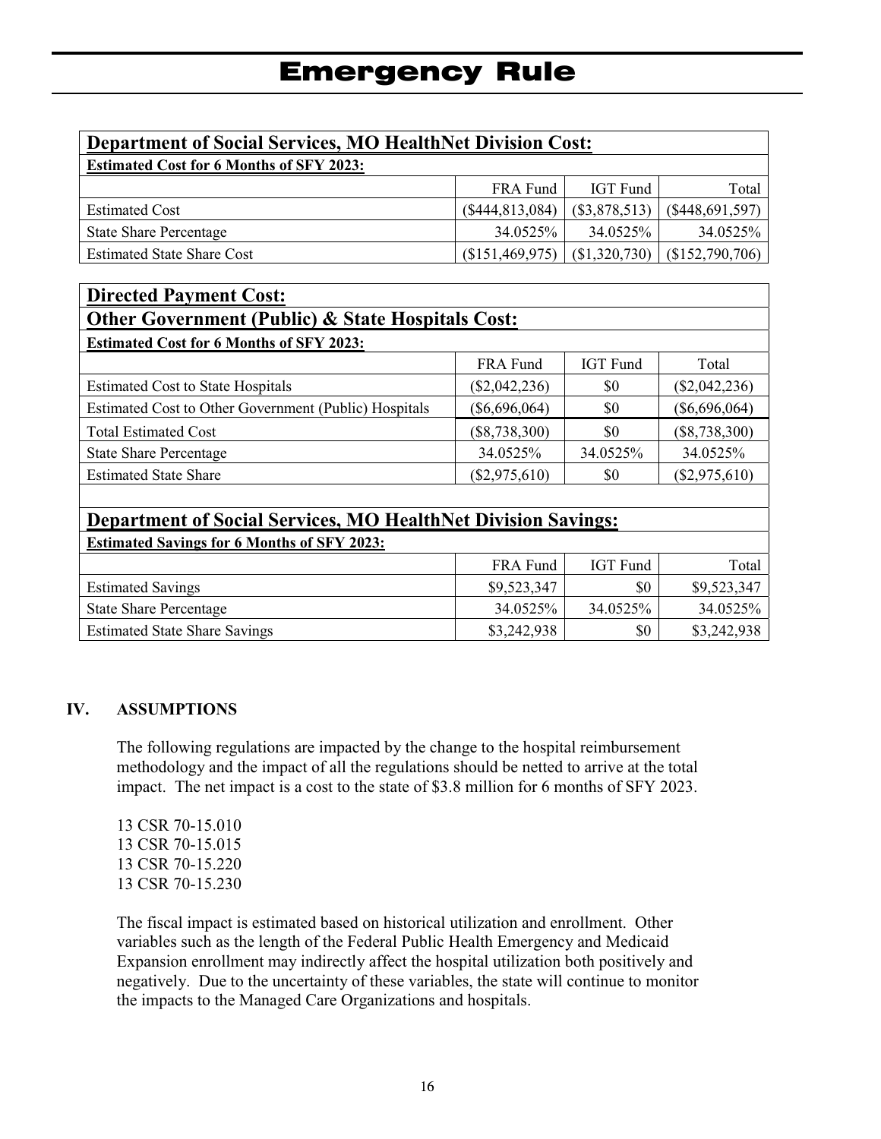| <b>Department of Social Services, MO HealthNet Division Cost:</b>                        |                   |                 |                   |  |  |
|------------------------------------------------------------------------------------------|-------------------|-----------------|-------------------|--|--|
| <b>Estimated Cost for 6 Months of SFY 2023:</b>                                          |                   |                 |                   |  |  |
|                                                                                          | FRA Fund          | IGT Fund        | Total             |  |  |
| <b>Estimated Cost</b>                                                                    | (\$444, 813, 084) | $(\$3,878,513)$ | $(\$448,691,597)$ |  |  |
| <b>State Share Percentage</b>                                                            | 34.0525%          | 34.0525%        | 34.0525%          |  |  |
| (\$1,320,730)<br>(\$152,790,706)<br>(\$151,469,975)<br><b>Estimated State Share Cost</b> |                   |                 |                   |  |  |

| <b>Directed Payment Cost:</b>                         |                 |                 |                 |  |
|-------------------------------------------------------|-----------------|-----------------|-----------------|--|
| Other Government (Public) & State Hospitals Cost:     |                 |                 |                 |  |
| <b>Estimated Cost for 6 Months of SFY 2023:</b>       |                 |                 |                 |  |
|                                                       | FRA Fund        | <b>IGT</b> Fund | Total           |  |
| <b>Estimated Cost to State Hospitals</b>              | $(\$2,042,236)$ | \$0             | $(\$2,042,236)$ |  |
| Estimated Cost to Other Government (Public) Hospitals | $(\$6,696,064)$ | \$0             | $(\$6,696,064)$ |  |
| <b>Total Estimated Cost</b>                           | $(\$8,738,300)$ | \$0             | $(\$8,738,300)$ |  |
| <b>State Share Percentage</b>                         | 34.0525%        | 34.0525%        | 34.0525%        |  |
| <b>Estimated State Share</b>                          | $(\$2,975,610)$ | \$0             | $(\$2,975,610)$ |  |

| <b>Department of Social Services, MO HealthNet Division Savings:</b>      |             |                 |             |  |  |
|---------------------------------------------------------------------------|-------------|-----------------|-------------|--|--|
| <b>Estimated Savings for 6 Months of SFY 2023:</b>                        |             |                 |             |  |  |
|                                                                           | FRA Fund    | <b>IGT</b> Fund | Total       |  |  |
| <b>Estimated Savings</b>                                                  | \$9,523,347 | \$0             | \$9,523,347 |  |  |
| <b>State Share Percentage</b>                                             | 34.0525%    | 34.0525%        | 34.0525%    |  |  |
| \$3,242,938<br>\$3,242,938<br><b>Estimated State Share Savings</b><br>\$0 |             |                 |             |  |  |

### **IV. ASSUMPTIONS**

 $\overline{\phantom{a}}$ 

The following regulations are impacted by the change to the hospital reimbursement methodology and the impact of all the regulations should be netted to arrive at the total impact. The net impact is a cost to the state of \$3.8 million for 6 months of SFY 2023.

 CSR 70-15.010 CSR 70-15.015 CSR 70-15.220 CSR 70-15.230

The fiscal impact is estimated based on historical utilization and enrollment. Other variables such as the length of the Federal Public Health Emergency and Medicaid Expansion enrollment may indirectly affect the hospital utilization both positively and negatively. Due to the uncertainty of these variables, the state will continue to monitor the impacts to the Managed Care Organizations and hospitals.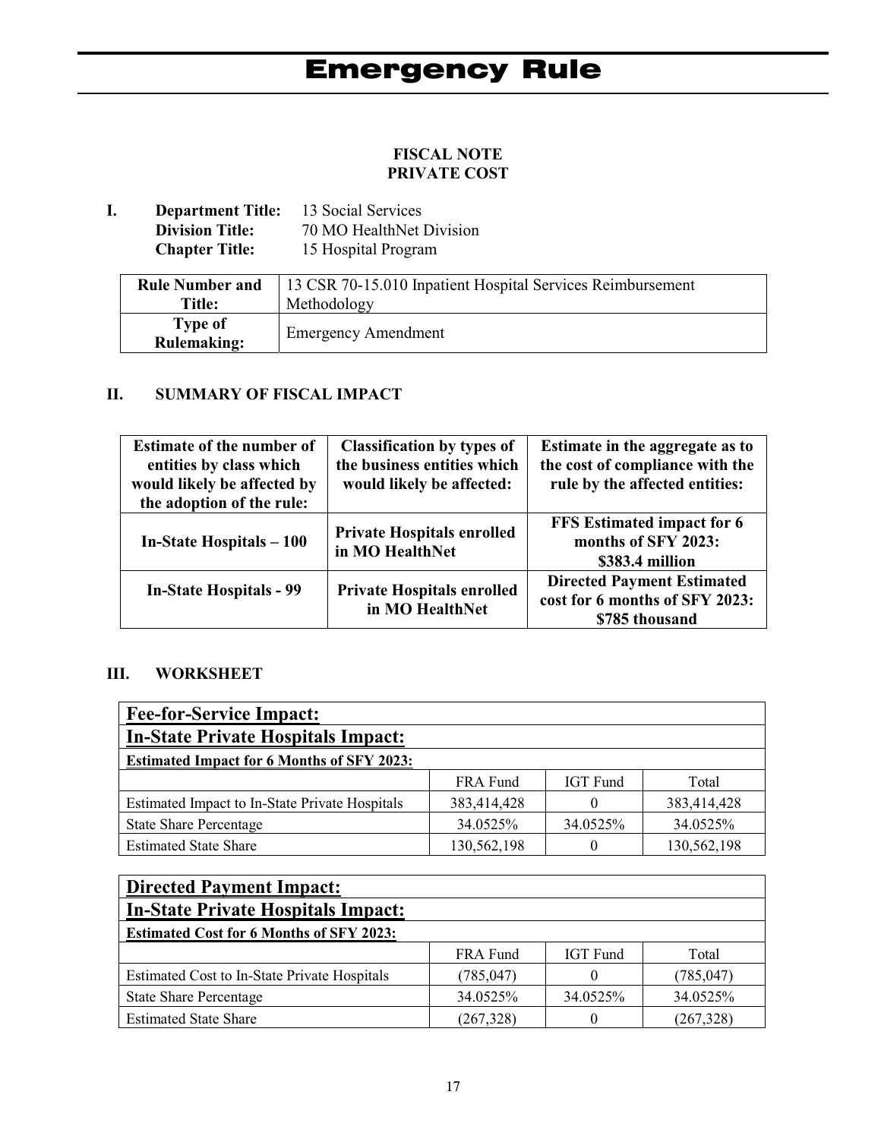### **FISCAL NOTE PRIVATE COST**

**I. Department Title:** 13 Social Services<br>Division Title: 70 MO HealthNet 1 **Division Title:** 70 MO HealthNet Division<br>**Chapter Title:** 15 Hospital Program 15 Hospital Program

| <b>Rule Number and</b>        | 13 CSR 70-15.010 Inpatient Hospital Services Reimbursement |
|-------------------------------|------------------------------------------------------------|
| <b>Title:</b>                 | Methodology                                                |
| Type of<br><b>Rulemaking:</b> | <b>Emergency Amendment</b>                                 |

### **II. SUMMARY OF FISCAL IMPACT**

| <b>Estimate of the number of</b><br>entities by class which<br>would likely be affected by<br>the adoption of the rule: | <b>Classification by types of</b><br>the business entities which<br>would likely be affected: | Estimate in the aggregate as to<br>the cost of compliance with the<br>rule by the affected entities: |
|-------------------------------------------------------------------------------------------------------------------------|-----------------------------------------------------------------------------------------------|------------------------------------------------------------------------------------------------------|
| In-State Hospitals – 100                                                                                                | <b>Private Hospitals enrolled</b><br>in MO HealthNet                                          | FFS Estimated impact for 6<br>months of SFY 2023:<br>\$383.4 million                                 |
| <b>In-State Hospitals - 99</b>                                                                                          | <b>Private Hospitals enrolled</b><br>in MO HealthNet                                          | <b>Directed Payment Estimated</b><br>cost for 6 months of SFY 2023:<br>\$785 thousand                |

### **III. WORKSHEET**

| <b>Fee-for-Service Impact:</b>                    |             |                 |             |  |  |
|---------------------------------------------------|-------------|-----------------|-------------|--|--|
| <b>In-State Private Hospitals Impact:</b>         |             |                 |             |  |  |
| <b>Estimated Impact for 6 Months of SFY 2023:</b> |             |                 |             |  |  |
|                                                   | FRA Fund    | <b>IGT</b> Fund | Total       |  |  |
| Estimated Impact to In-State Private Hospitals    | 383,414,428 |                 | 383,414,428 |  |  |
| <b>State Share Percentage</b>                     | 34.0525%    | 34.0525%        | 34.0525%    |  |  |
| <b>Estimated State Share</b>                      | 130,562,198 |                 | 130,562,198 |  |  |

| <b>Directed Payment Impact:</b>                     |            |                 |           |  |
|-----------------------------------------------------|------------|-----------------|-----------|--|
| <b>In-State Private Hospitals Impact:</b>           |            |                 |           |  |
| <b>Estimated Cost for 6 Months of SFY 2023:</b>     |            |                 |           |  |
|                                                     | FRA Fund   | <b>IGT</b> Fund | Total     |  |
| <b>Estimated Cost to In-State Private Hospitals</b> | (785, 047) |                 | (785,047) |  |
| <b>State Share Percentage</b>                       | 34.0525%   | 34.0525%        | 34.0525%  |  |
| <b>Estimated State Share</b>                        | (267, 328) |                 | (267,328) |  |